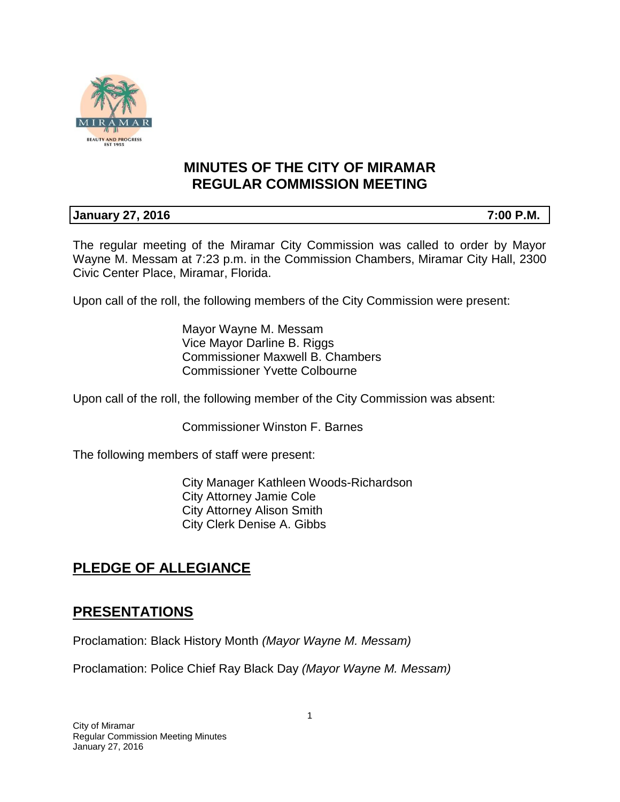

# **MINUTES OF THE CITY OF MIRAMAR REGULAR COMMISSION MEETING**

### **January 27, 2016 7:00 P.M.**

The regular meeting of the Miramar City Commission was called to order by Mayor Wayne M. Messam at 7:23 p.m. in the Commission Chambers, Miramar City Hall, 2300 Civic Center Place, Miramar, Florida.

Upon call of the roll, the following members of the City Commission were present:

Mayor Wayne M. Messam Vice Mayor Darline B. Riggs Commissioner Maxwell B. Chambers Commissioner Yvette Colbourne

Upon call of the roll, the following member of the City Commission was absent:

Commissioner Winston F. Barnes

The following members of staff were present:

City Manager Kathleen Woods-Richardson City Attorney Jamie Cole City Attorney Alison Smith City Clerk Denise A. Gibbs

# **PLEDGE OF ALLEGIANCE**

# **PRESENTATIONS**

Proclamation: Black History Month *(Mayor Wayne M. Messam)* 

Proclamation: Police Chief Ray Black Day *(Mayor Wayne M. Messam)*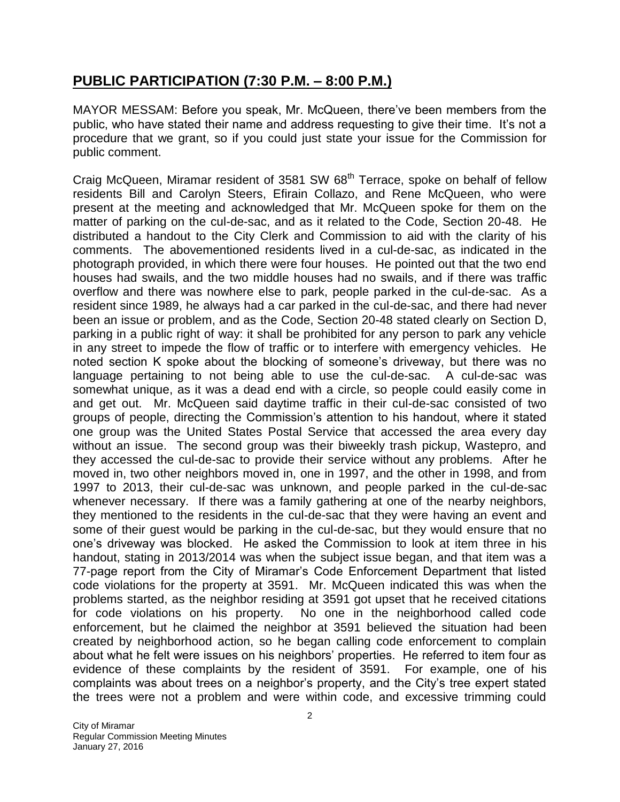## **PUBLIC PARTICIPATION (7:30 P.M. – 8:00 P.M.)**

MAYOR MESSAM: Before you speak, Mr. McQueen, there've been members from the public, who have stated their name and address requesting to give their time. It's not a procedure that we grant, so if you could just state your issue for the Commission for public comment.

Craig McQueen, Miramar resident of 3581 SW 68<sup>th</sup> Terrace, spoke on behalf of fellow residents Bill and Carolyn Steers, Efirain Collazo, and Rene McQueen, who were present at the meeting and acknowledged that Mr. McQueen spoke for them on the matter of parking on the cul-de-sac, and as it related to the Code, Section 20-48. He distributed a handout to the City Clerk and Commission to aid with the clarity of his comments. The abovementioned residents lived in a cul-de-sac, as indicated in the photograph provided, in which there were four houses. He pointed out that the two end houses had swails, and the two middle houses had no swails, and if there was traffic overflow and there was nowhere else to park, people parked in the cul-de-sac. As a resident since 1989, he always had a car parked in the cul-de-sac, and there had never been an issue or problem, and as the Code, Section 20-48 stated clearly on Section D, parking in a public right of way: it shall be prohibited for any person to park any vehicle in any street to impede the flow of traffic or to interfere with emergency vehicles. He noted section K spoke about the blocking of someone's driveway, but there was no language pertaining to not being able to use the cul-de-sac. A cul-de-sac was somewhat unique, as it was a dead end with a circle, so people could easily come in and get out. Mr. McQueen said daytime traffic in their cul-de-sac consisted of two groups of people, directing the Commission's attention to his handout, where it stated one group was the United States Postal Service that accessed the area every day without an issue. The second group was their biweekly trash pickup, Wastepro, and they accessed the cul-de-sac to provide their service without any problems. After he moved in, two other neighbors moved in, one in 1997, and the other in 1998, and from 1997 to 2013, their cul-de-sac was unknown, and people parked in the cul-de-sac whenever necessary. If there was a family gathering at one of the nearby neighbors, they mentioned to the residents in the cul-de-sac that they were having an event and some of their guest would be parking in the cul-de-sac, but they would ensure that no one's driveway was blocked. He asked the Commission to look at item three in his handout, stating in 2013/2014 was when the subject issue began, and that item was a 77-page report from the City of Miramar's Code Enforcement Department that listed code violations for the property at 3591. Mr. McQueen indicated this was when the problems started, as the neighbor residing at 3591 got upset that he received citations for code violations on his property. No one in the neighborhood called code enforcement, but he claimed the neighbor at 3591 believed the situation had been created by neighborhood action, so he began calling code enforcement to complain about what he felt were issues on his neighbors' properties. He referred to item four as evidence of these complaints by the resident of 3591. For example, one of his complaints was about trees on a neighbor's property, and the City's tree expert stated the trees were not a problem and were within code, and excessive trimming could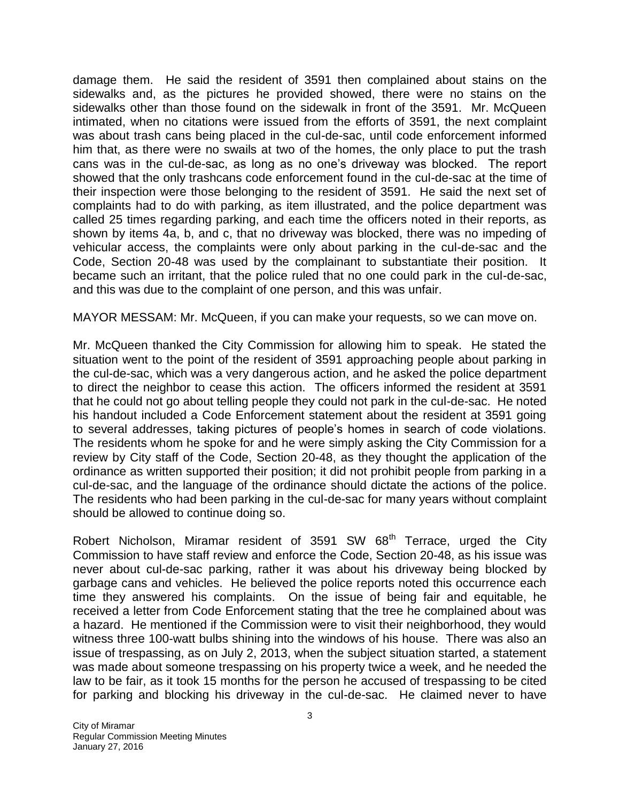damage them. He said the resident of 3591 then complained about stains on the sidewalks and, as the pictures he provided showed, there were no stains on the sidewalks other than those found on the sidewalk in front of the 3591. Mr. McQueen intimated, when no citations were issued from the efforts of 3591, the next complaint was about trash cans being placed in the cul-de-sac, until code enforcement informed him that, as there were no swails at two of the homes, the only place to put the trash cans was in the cul-de-sac, as long as no one's driveway was blocked. The report showed that the only trashcans code enforcement found in the cul-de-sac at the time of their inspection were those belonging to the resident of 3591. He said the next set of complaints had to do with parking, as item illustrated, and the police department was called 25 times regarding parking, and each time the officers noted in their reports, as shown by items 4a, b, and c, that no driveway was blocked, there was no impeding of vehicular access, the complaints were only about parking in the cul-de-sac and the Code, Section 20-48 was used by the complainant to substantiate their position. It became such an irritant, that the police ruled that no one could park in the cul-de-sac, and this was due to the complaint of one person, and this was unfair.

MAYOR MESSAM: Mr. McQueen, if you can make your requests, so we can move on.

Mr. McQueen thanked the City Commission for allowing him to speak. He stated the situation went to the point of the resident of 3591 approaching people about parking in the cul-de-sac, which was a very dangerous action, and he asked the police department to direct the neighbor to cease this action. The officers informed the resident at 3591 that he could not go about telling people they could not park in the cul-de-sac. He noted his handout included a Code Enforcement statement about the resident at 3591 going to several addresses, taking pictures of people's homes in search of code violations. The residents whom he spoke for and he were simply asking the City Commission for a review by City staff of the Code, Section 20-48, as they thought the application of the ordinance as written supported their position; it did not prohibit people from parking in a cul-de-sac, and the language of the ordinance should dictate the actions of the police. The residents who had been parking in the cul-de-sac for many years without complaint should be allowed to continue doing so.

Robert Nicholson, Miramar resident of 3591 SW 68<sup>th</sup> Terrace, urged the City Commission to have staff review and enforce the Code, Section 20-48, as his issue was never about cul-de-sac parking, rather it was about his driveway being blocked by garbage cans and vehicles. He believed the police reports noted this occurrence each time they answered his complaints. On the issue of being fair and equitable, he received a letter from Code Enforcement stating that the tree he complained about was a hazard. He mentioned if the Commission were to visit their neighborhood, they would witness three 100-watt bulbs shining into the windows of his house. There was also an issue of trespassing, as on July 2, 2013, when the subject situation started, a statement was made about someone trespassing on his property twice a week, and he needed the law to be fair, as it took 15 months for the person he accused of trespassing to be cited for parking and blocking his driveway in the cul-de-sac. He claimed never to have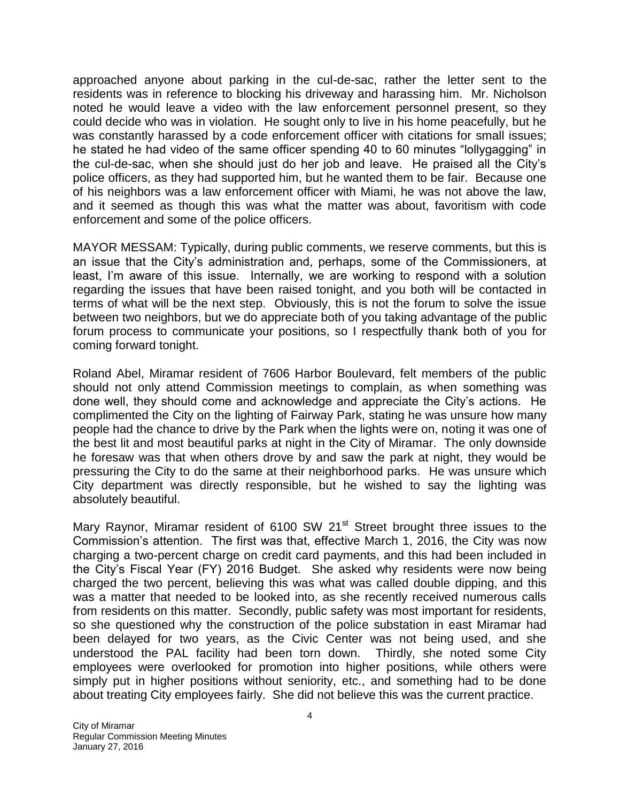approached anyone about parking in the cul-de-sac, rather the letter sent to the residents was in reference to blocking his driveway and harassing him. Mr. Nicholson noted he would leave a video with the law enforcement personnel present, so they could decide who was in violation. He sought only to live in his home peacefully, but he was constantly harassed by a code enforcement officer with citations for small issues; he stated he had video of the same officer spending 40 to 60 minutes "lollygagging" in the cul-de-sac, when she should just do her job and leave. He praised all the City's police officers, as they had supported him, but he wanted them to be fair. Because one of his neighbors was a law enforcement officer with Miami, he was not above the law, and it seemed as though this was what the matter was about, favoritism with code enforcement and some of the police officers.

MAYOR MESSAM: Typically, during public comments, we reserve comments, but this is an issue that the City's administration and, perhaps, some of the Commissioners, at least, I'm aware of this issue. Internally, we are working to respond with a solution regarding the issues that have been raised tonight, and you both will be contacted in terms of what will be the next step. Obviously, this is not the forum to solve the issue between two neighbors, but we do appreciate both of you taking advantage of the public forum process to communicate your positions, so I respectfully thank both of you for coming forward tonight.

Roland Abel, Miramar resident of 7606 Harbor Boulevard, felt members of the public should not only attend Commission meetings to complain, as when something was done well, they should come and acknowledge and appreciate the City's actions. He complimented the City on the lighting of Fairway Park, stating he was unsure how many people had the chance to drive by the Park when the lights were on, noting it was one of the best lit and most beautiful parks at night in the City of Miramar. The only downside he foresaw was that when others drove by and saw the park at night, they would be pressuring the City to do the same at their neighborhood parks. He was unsure which City department was directly responsible, but he wished to say the lighting was absolutely beautiful.

Mary Raynor, Miramar resident of 6100 SW 21<sup>st</sup> Street brought three issues to the Commission's attention. The first was that, effective March 1, 2016, the City was now charging a two-percent charge on credit card payments, and this had been included in the City's Fiscal Year (FY) 2016 Budget. She asked why residents were now being charged the two percent, believing this was what was called double dipping, and this was a matter that needed to be looked into, as she recently received numerous calls from residents on this matter. Secondly, public safety was most important for residents, so she questioned why the construction of the police substation in east Miramar had been delayed for two years, as the Civic Center was not being used, and she understood the PAL facility had been torn down. Thirdly, she noted some City employees were overlooked for promotion into higher positions, while others were simply put in higher positions without seniority, etc., and something had to be done about treating City employees fairly. She did not believe this was the current practice.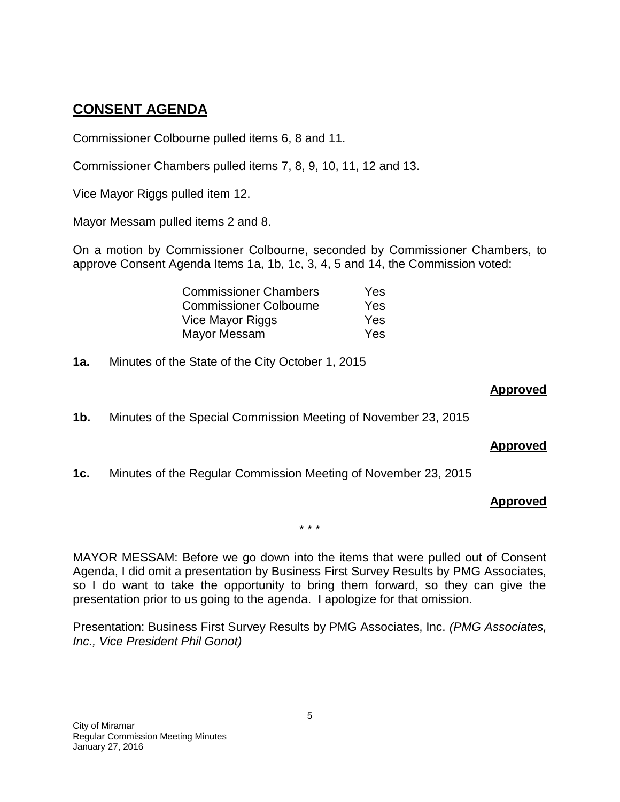# **CONSENT AGENDA**

Commissioner Colbourne pulled items 6, 8 and 11.

Commissioner Chambers pulled items 7, 8, 9, 10, 11, 12 and 13.

Vice Mayor Riggs pulled item 12.

Mayor Messam pulled items 2 and 8.

On a motion by Commissioner Colbourne, seconded by Commissioner Chambers, to approve Consent Agenda Items 1a, 1b, 1c, 3, 4, 5 and 14, the Commission voted:

| <b>Commissioner Chambers</b>  | Yes |
|-------------------------------|-----|
| <b>Commissioner Colbourne</b> | Yes |
| Vice Mayor Riggs              | Yes |
| Mayor Messam                  | Yes |

**1a.** Minutes of the State of the City October 1, 2015

#### **Approved**

**1b.** Minutes of the Special Commission Meeting of November 23, 2015

#### **Approved**

**1c.** Minutes of the Regular Commission Meeting of November 23, 2015

#### **Approved**

\* \* \*

MAYOR MESSAM: Before we go down into the items that were pulled out of Consent Agenda, I did omit a presentation by Business First Survey Results by PMG Associates, so I do want to take the opportunity to bring them forward, so they can give the presentation prior to us going to the agenda. I apologize for that omission.

Presentation: Business First Survey Results by PMG Associates, Inc. *(PMG Associates, Inc., Vice President Phil Gonot)*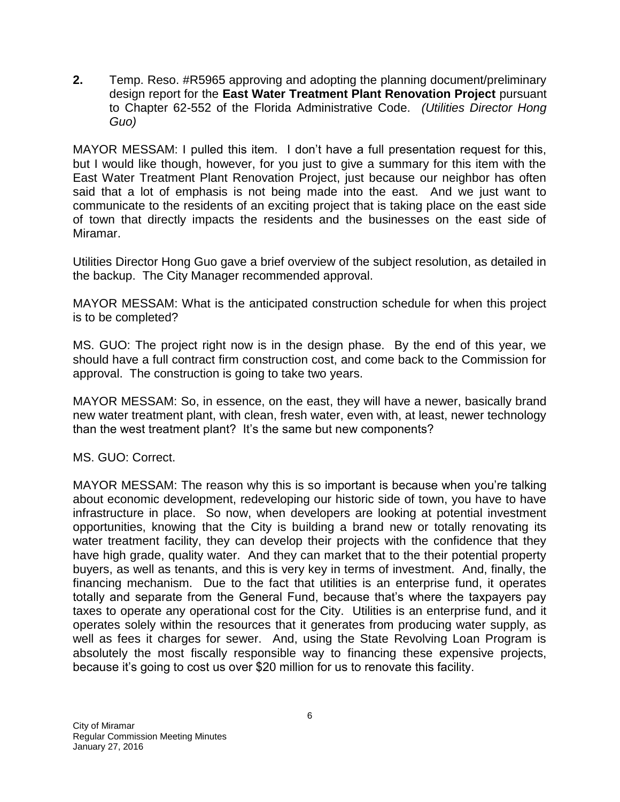**2.** Temp. Reso. #R5965 approving and adopting the planning document/preliminary design report for the **East Water Treatment Plant Renovation Project** pursuant to Chapter 62-552 of the Florida Administrative Code. *(Utilities Director Hong Guo)*

MAYOR MESSAM: I pulled this item. I don't have a full presentation request for this, but I would like though, however, for you just to give a summary for this item with the East Water Treatment Plant Renovation Project, just because our neighbor has often said that a lot of emphasis is not being made into the east. And we just want to communicate to the residents of an exciting project that is taking place on the east side of town that directly impacts the residents and the businesses on the east side of Miramar.

Utilities Director Hong Guo gave a brief overview of the subject resolution, as detailed in the backup. The City Manager recommended approval.

MAYOR MESSAM: What is the anticipated construction schedule for when this project is to be completed?

MS. GUO: The project right now is in the design phase. By the end of this year, we should have a full contract firm construction cost, and come back to the Commission for approval. The construction is going to take two years.

MAYOR MESSAM: So, in essence, on the east, they will have a newer, basically brand new water treatment plant, with clean, fresh water, even with, at least, newer technology than the west treatment plant? It's the same but new components?

MS. GUO: Correct.

MAYOR MESSAM: The reason why this is so important is because when you're talking about economic development, redeveloping our historic side of town, you have to have infrastructure in place. So now, when developers are looking at potential investment opportunities, knowing that the City is building a brand new or totally renovating its water treatment facility, they can develop their projects with the confidence that they have high grade, quality water. And they can market that to the their potential property buyers, as well as tenants, and this is very key in terms of investment. And, finally, the financing mechanism. Due to the fact that utilities is an enterprise fund, it operates totally and separate from the General Fund, because that's where the taxpayers pay taxes to operate any operational cost for the City. Utilities is an enterprise fund, and it operates solely within the resources that it generates from producing water supply, as well as fees it charges for sewer. And, using the State Revolving Loan Program is absolutely the most fiscally responsible way to financing these expensive projects, because it's going to cost us over \$20 million for us to renovate this facility.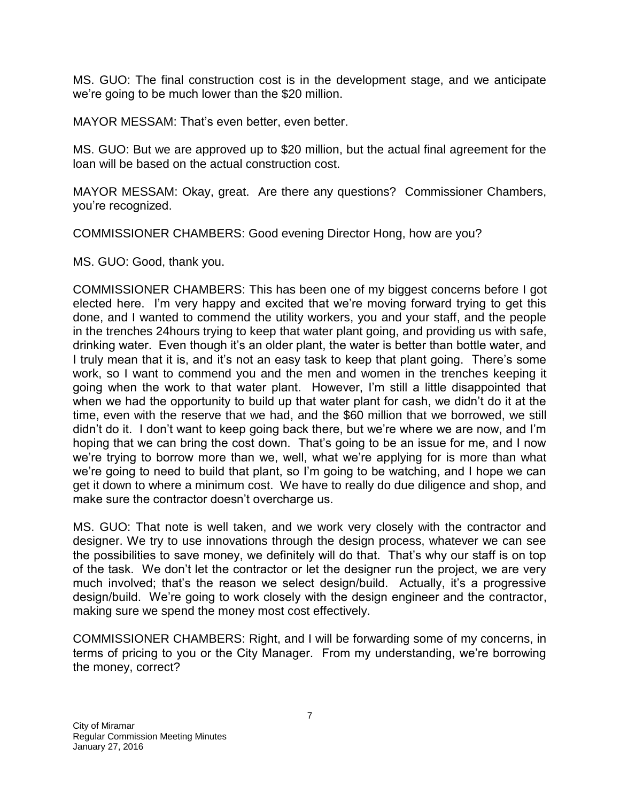MS. GUO: The final construction cost is in the development stage, and we anticipate we're going to be much lower than the \$20 million.

MAYOR MESSAM: That's even better, even better.

MS. GUO: But we are approved up to \$20 million, but the actual final agreement for the loan will be based on the actual construction cost.

MAYOR MESSAM: Okay, great. Are there any questions? Commissioner Chambers, you're recognized.

COMMISSIONER CHAMBERS: Good evening Director Hong, how are you?

MS. GUO: Good, thank you.

COMMISSIONER CHAMBERS: This has been one of my biggest concerns before I got elected here. I'm very happy and excited that we're moving forward trying to get this done, and I wanted to commend the utility workers, you and your staff, and the people in the trenches 24hours trying to keep that water plant going, and providing us with safe, drinking water. Even though it's an older plant, the water is better than bottle water, and I truly mean that it is, and it's not an easy task to keep that plant going. There's some work, so I want to commend you and the men and women in the trenches keeping it going when the work to that water plant. However, I'm still a little disappointed that when we had the opportunity to build up that water plant for cash, we didn't do it at the time, even with the reserve that we had, and the \$60 million that we borrowed, we still didn't do it. I don't want to keep going back there, but we're where we are now, and I'm hoping that we can bring the cost down. That's going to be an issue for me, and I now we're trying to borrow more than we, well, what we're applying for is more than what we're going to need to build that plant, so I'm going to be watching, and I hope we can get it down to where a minimum cost. We have to really do due diligence and shop, and make sure the contractor doesn't overcharge us.

MS. GUO: That note is well taken, and we work very closely with the contractor and designer. We try to use innovations through the design process, whatever we can see the possibilities to save money, we definitely will do that. That's why our staff is on top of the task. We don't let the contractor or let the designer run the project, we are very much involved; that's the reason we select design/build. Actually, it's a progressive design/build. We're going to work closely with the design engineer and the contractor, making sure we spend the money most cost effectively.

COMMISSIONER CHAMBERS: Right, and I will be forwarding some of my concerns, in terms of pricing to you or the City Manager. From my understanding, we're borrowing the money, correct?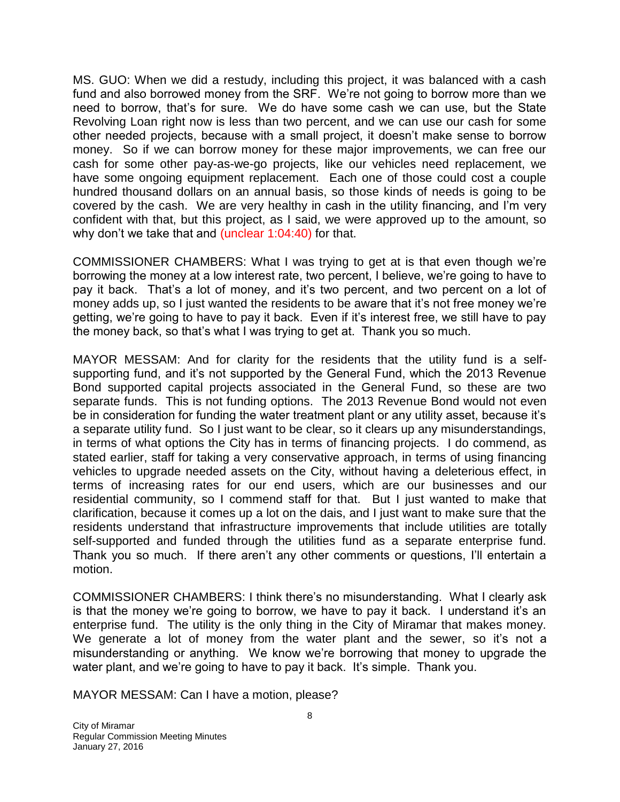MS. GUO: When we did a restudy, including this project, it was balanced with a cash fund and also borrowed money from the SRF. We're not going to borrow more than we need to borrow, that's for sure. We do have some cash we can use, but the State Revolving Loan right now is less than two percent, and we can use our cash for some other needed projects, because with a small project, it doesn't make sense to borrow money. So if we can borrow money for these major improvements, we can free our cash for some other pay-as-we-go projects, like our vehicles need replacement, we have some ongoing equipment replacement. Each one of those could cost a couple hundred thousand dollars on an annual basis, so those kinds of needs is going to be covered by the cash. We are very healthy in cash in the utility financing, and I'm very confident with that, but this project, as I said, we were approved up to the amount, so why don't we take that and (unclear 1:04:40) for that.

COMMISSIONER CHAMBERS: What I was trying to get at is that even though we're borrowing the money at a low interest rate, two percent, I believe, we're going to have to pay it back. That's a lot of money, and it's two percent, and two percent on a lot of money adds up, so I just wanted the residents to be aware that it's not free money we're getting, we're going to have to pay it back. Even if it's interest free, we still have to pay the money back, so that's what I was trying to get at. Thank you so much.

MAYOR MESSAM: And for clarity for the residents that the utility fund is a selfsupporting fund, and it's not supported by the General Fund, which the 2013 Revenue Bond supported capital projects associated in the General Fund, so these are two separate funds. This is not funding options. The 2013 Revenue Bond would not even be in consideration for funding the water treatment plant or any utility asset, because it's a separate utility fund. So I just want to be clear, so it clears up any misunderstandings, in terms of what options the City has in terms of financing projects. I do commend, as stated earlier, staff for taking a very conservative approach, in terms of using financing vehicles to upgrade needed assets on the City, without having a deleterious effect, in terms of increasing rates for our end users, which are our businesses and our residential community, so I commend staff for that. But I just wanted to make that clarification, because it comes up a lot on the dais, and I just want to make sure that the residents understand that infrastructure improvements that include utilities are totally self-supported and funded through the utilities fund as a separate enterprise fund. Thank you so much. If there aren't any other comments or questions, I'll entertain a motion.

COMMISSIONER CHAMBERS: I think there's no misunderstanding. What I clearly ask is that the money we're going to borrow, we have to pay it back. I understand it's an enterprise fund. The utility is the only thing in the City of Miramar that makes money. We generate a lot of money from the water plant and the sewer, so it's not a misunderstanding or anything. We know we're borrowing that money to upgrade the water plant, and we're going to have to pay it back. It's simple. Thank you.

MAYOR MESSAM: Can I have a motion, please?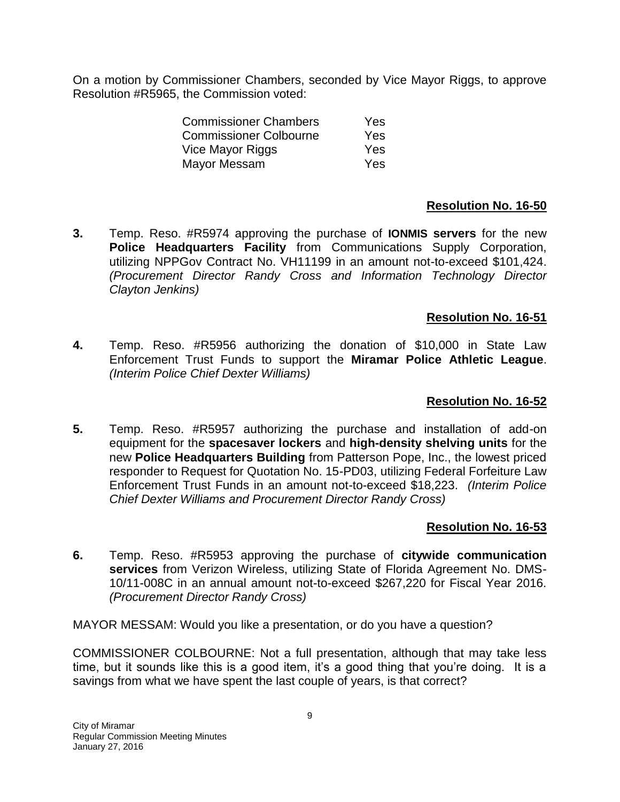On a motion by Commissioner Chambers, seconded by Vice Mayor Riggs, to approve Resolution #R5965, the Commission voted:

| Yes.       |
|------------|
| Yes        |
| Yes        |
| <b>Yes</b> |
|            |

#### **Resolution No. 16-50**

**3.** Temp. Reso. #R5974 approving the purchase of **IONMIS servers** for the new **Police Headquarters Facility** from Communications Supply Corporation, utilizing NPPGov Contract No. VH11199 in an amount not-to-exceed \$101,424. *(Procurement Director Randy Cross and Information Technology Director Clayton Jenkins)*

#### **Resolution No. 16-51**

**4.** Temp. Reso. #R5956 authorizing the donation of \$10,000 in State Law Enforcement Trust Funds to support the **Miramar Police Athletic League**. *(Interim Police Chief Dexter Williams)*

#### **Resolution No. 16-52**

**5.** Temp. Reso. #R5957 authorizing the purchase and installation of add-on equipment for the **spacesaver lockers** and **high-density shelving units** for the new **Police Headquarters Building** from Patterson Pope, Inc., the lowest priced responder to Request for Quotation No. 15-PD03, utilizing Federal Forfeiture Law Enforcement Trust Funds in an amount not-to-exceed \$18,223. *(Interim Police Chief Dexter Williams and Procurement Director Randy Cross)*

#### **Resolution No. 16-53**

**6.** Temp. Reso. #R5953 approving the purchase of **citywide communication services** from Verizon Wireless, utilizing State of Florida Agreement No. DMS-10/11-008C in an annual amount not-to-exceed \$267,220 for Fiscal Year 2016. *(Procurement Director Randy Cross)*

MAYOR MESSAM: Would you like a presentation, or do you have a question?

COMMISSIONER COLBOURNE: Not a full presentation, although that may take less time, but it sounds like this is a good item, it's a good thing that you're doing. It is a savings from what we have spent the last couple of years, is that correct?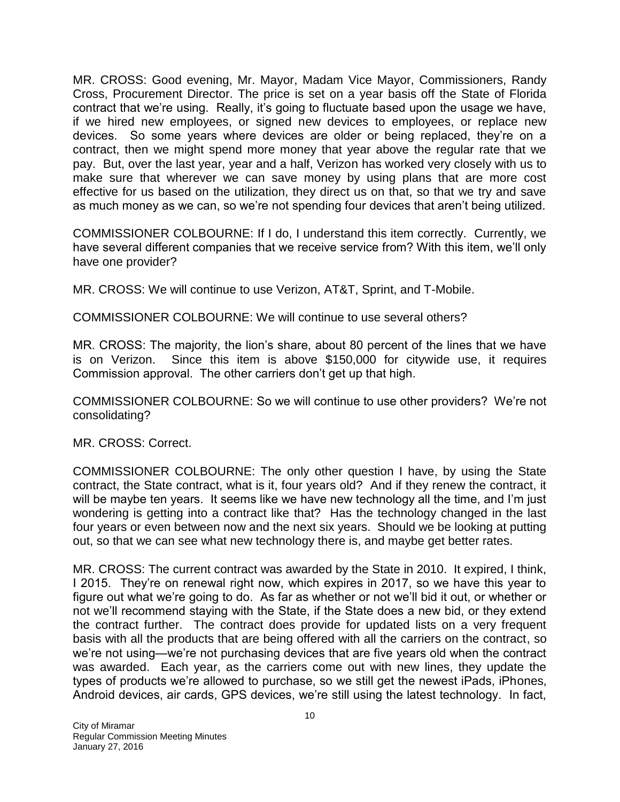MR. CROSS: Good evening, Mr. Mayor, Madam Vice Mayor, Commissioners, Randy Cross, Procurement Director. The price is set on a year basis off the State of Florida contract that we're using. Really, it's going to fluctuate based upon the usage we have, if we hired new employees, or signed new devices to employees, or replace new devices. So some years where devices are older or being replaced, they're on a contract, then we might spend more money that year above the regular rate that we pay. But, over the last year, year and a half, Verizon has worked very closely with us to make sure that wherever we can save money by using plans that are more cost effective for us based on the utilization, they direct us on that, so that we try and save as much money as we can, so we're not spending four devices that aren't being utilized.

COMMISSIONER COLBOURNE: If I do, I understand this item correctly. Currently, we have several different companies that we receive service from? With this item, we'll only have one provider?

MR. CROSS: We will continue to use Verizon, AT&T, Sprint, and T-Mobile.

COMMISSIONER COLBOURNE: We will continue to use several others?

MR. CROSS: The majority, the lion's share, about 80 percent of the lines that we have is on Verizon. Since this item is above \$150,000 for citywide use, it requires Commission approval. The other carriers don't get up that high.

COMMISSIONER COLBOURNE: So we will continue to use other providers? We're not consolidating?

MR. CROSS: Correct.

COMMISSIONER COLBOURNE: The only other question I have, by using the State contract, the State contract, what is it, four years old? And if they renew the contract, it will be maybe ten years. It seems like we have new technology all the time, and I'm just wondering is getting into a contract like that? Has the technology changed in the last four years or even between now and the next six years. Should we be looking at putting out, so that we can see what new technology there is, and maybe get better rates.

MR. CROSS: The current contract was awarded by the State in 2010. It expired, I think, I 2015. They're on renewal right now, which expires in 2017, so we have this year to figure out what we're going to do. As far as whether or not we'll bid it out, or whether or not we'll recommend staying with the State, if the State does a new bid, or they extend the contract further. The contract does provide for updated lists on a very frequent basis with all the products that are being offered with all the carriers on the contract, so we're not using—we're not purchasing devices that are five years old when the contract was awarded. Each year, as the carriers come out with new lines, they update the types of products we're allowed to purchase, so we still get the newest iPads, iPhones, Android devices, air cards, GPS devices, we're still using the latest technology. In fact,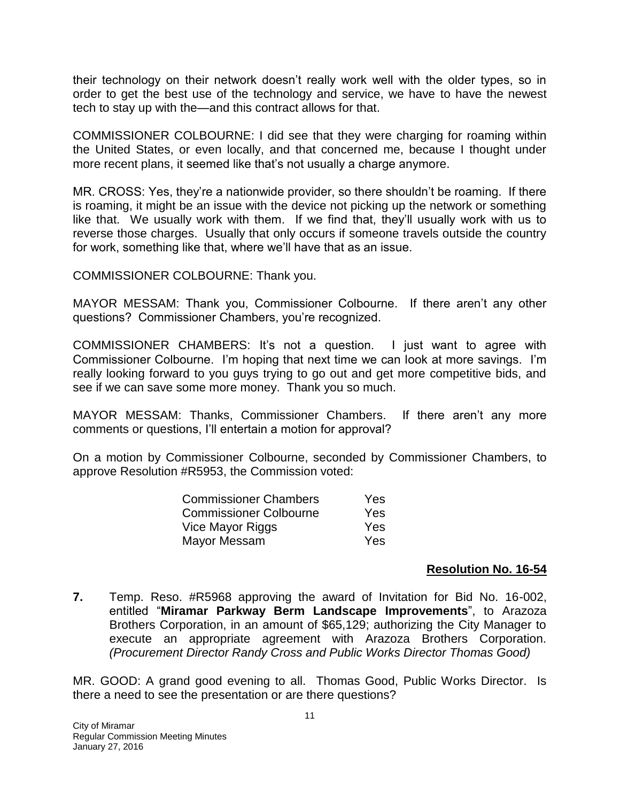their technology on their network doesn't really work well with the older types, so in order to get the best use of the technology and service, we have to have the newest tech to stay up with the—and this contract allows for that.

COMMISSIONER COLBOURNE: I did see that they were charging for roaming within the United States, or even locally, and that concerned me, because I thought under more recent plans, it seemed like that's not usually a charge anymore.

MR. CROSS: Yes, they're a nationwide provider, so there shouldn't be roaming. If there is roaming, it might be an issue with the device not picking up the network or something like that. We usually work with them. If we find that, they'll usually work with us to reverse those charges. Usually that only occurs if someone travels outside the country for work, something like that, where we'll have that as an issue.

COMMISSIONER COLBOURNE: Thank you.

MAYOR MESSAM: Thank you, Commissioner Colbourne. If there aren't any other questions? Commissioner Chambers, you're recognized.

COMMISSIONER CHAMBERS: It's not a question. I just want to agree with Commissioner Colbourne. I'm hoping that next time we can look at more savings. I'm really looking forward to you guys trying to go out and get more competitive bids, and see if we can save some more money. Thank you so much.

MAYOR MESSAM: Thanks, Commissioner Chambers. If there aren't any more comments or questions, I'll entertain a motion for approval?

On a motion by Commissioner Colbourne, seconded by Commissioner Chambers, to approve Resolution #R5953, the Commission voted:

| <b>Commissioner Chambers</b>  | <b>Yes</b> |
|-------------------------------|------------|
| <b>Commissioner Colbourne</b> | <b>Yes</b> |
| Vice Mayor Riggs              | Yes        |
| Mayor Messam                  | <b>Yes</b> |

#### **Resolution No. 16-54**

**7.** Temp. Reso. #R5968 approving the award of Invitation for Bid No. 16-002, entitled "**Miramar Parkway Berm Landscape Improvements**", to Arazoza Brothers Corporation, in an amount of \$65,129; authorizing the City Manager to execute an appropriate agreement with Arazoza Brothers Corporation. *(Procurement Director Randy Cross and Public Works Director Thomas Good)*

MR. GOOD: A grand good evening to all. Thomas Good, Public Works Director. Is there a need to see the presentation or are there questions?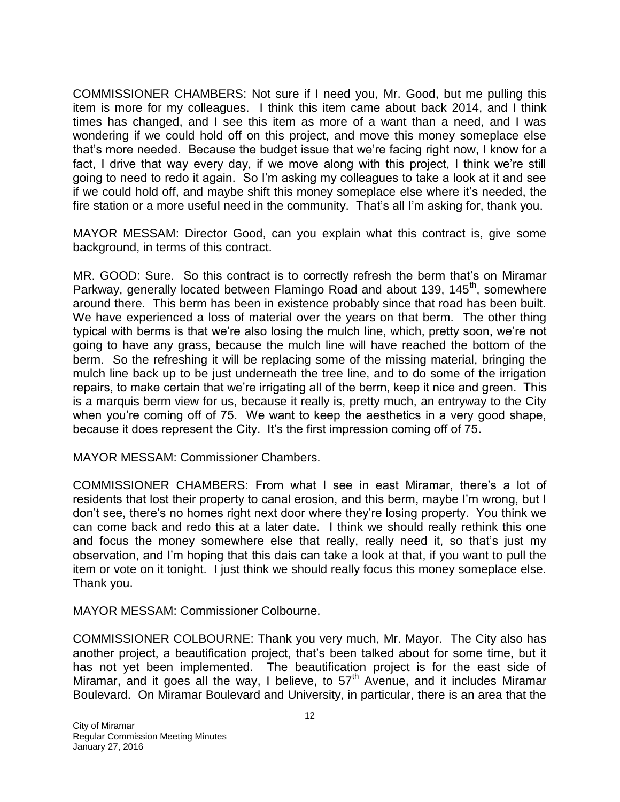COMMISSIONER CHAMBERS: Not sure if I need you, Mr. Good, but me pulling this item is more for my colleagues. I think this item came about back 2014, and I think times has changed, and I see this item as more of a want than a need, and I was wondering if we could hold off on this project, and move this money someplace else that's more needed. Because the budget issue that we're facing right now, I know for a fact, I drive that way every day, if we move along with this project, I think we're still going to need to redo it again. So I'm asking my colleagues to take a look at it and see if we could hold off, and maybe shift this money someplace else where it's needed, the fire station or a more useful need in the community. That's all I'm asking for, thank you.

MAYOR MESSAM: Director Good, can you explain what this contract is, give some background, in terms of this contract.

MR. GOOD: Sure. So this contract is to correctly refresh the berm that's on Miramar Parkway, generally located between Flamingo Road and about 139, 145<sup>th</sup>, somewhere around there. This berm has been in existence probably since that road has been built. We have experienced a loss of material over the years on that berm. The other thing typical with berms is that we're also losing the mulch line, which, pretty soon, we're not going to have any grass, because the mulch line will have reached the bottom of the berm. So the refreshing it will be replacing some of the missing material, bringing the mulch line back up to be just underneath the tree line, and to do some of the irrigation repairs, to make certain that we're irrigating all of the berm, keep it nice and green. This is a marquis berm view for us, because it really is, pretty much, an entryway to the City when you're coming off of 75. We want to keep the aesthetics in a very good shape, because it does represent the City. It's the first impression coming off of 75.

MAYOR MESSAM: Commissioner Chambers.

COMMISSIONER CHAMBERS: From what I see in east Miramar, there's a lot of residents that lost their property to canal erosion, and this berm, maybe I'm wrong, but I don't see, there's no homes right next door where they're losing property. You think we can come back and redo this at a later date. I think we should really rethink this one and focus the money somewhere else that really, really need it, so that's just my observation, and I'm hoping that this dais can take a look at that, if you want to pull the item or vote on it tonight. I just think we should really focus this money someplace else. Thank you.

MAYOR MESSAM: Commissioner Colbourne.

COMMISSIONER COLBOURNE: Thank you very much, Mr. Mayor. The City also has another project, a beautification project, that's been talked about for some time, but it has not yet been implemented. The beautification project is for the east side of Miramar, and it goes all the way, I believe, to  $57<sup>th</sup>$  Avenue, and it includes Miramar Boulevard. On Miramar Boulevard and University, in particular, there is an area that the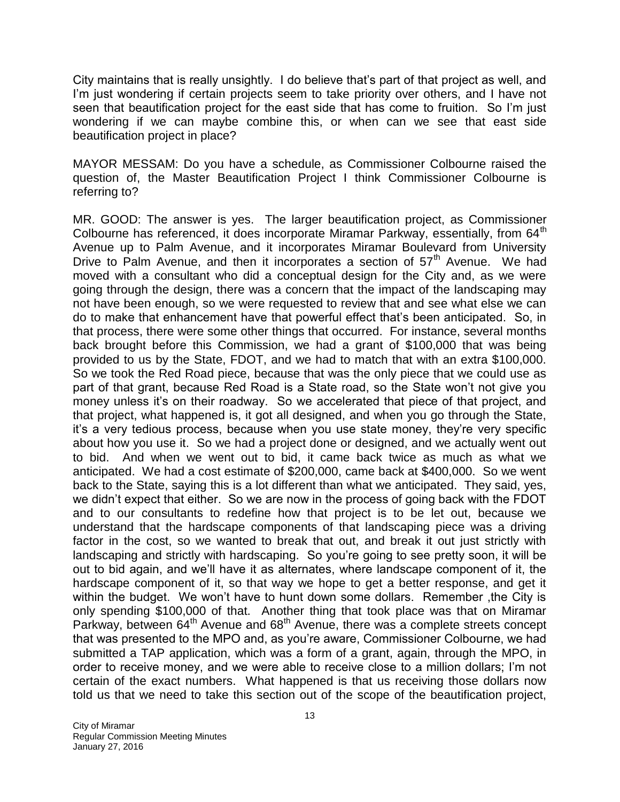City maintains that is really unsightly. I do believe that's part of that project as well, and I'm just wondering if certain projects seem to take priority over others, and I have not seen that beautification project for the east side that has come to fruition. So I'm just wondering if we can maybe combine this, or when can we see that east side beautification project in place?

MAYOR MESSAM: Do you have a schedule, as Commissioner Colbourne raised the question of, the Master Beautification Project I think Commissioner Colbourne is referring to?

MR. GOOD: The answer is yes. The larger beautification project, as Commissioner Colbourne has referenced, it does incorporate Miramar Parkway, essentially, from 64<sup>th</sup> Avenue up to Palm Avenue, and it incorporates Miramar Boulevard from University Drive to Palm Avenue, and then it incorporates a section of  $57<sup>th</sup>$  Avenue. We had moved with a consultant who did a conceptual design for the City and, as we were going through the design, there was a concern that the impact of the landscaping may not have been enough, so we were requested to review that and see what else we can do to make that enhancement have that powerful effect that's been anticipated. So, in that process, there were some other things that occurred. For instance, several months back brought before this Commission, we had a grant of \$100,000 that was being provided to us by the State, FDOT, and we had to match that with an extra \$100,000. So we took the Red Road piece, because that was the only piece that we could use as part of that grant, because Red Road is a State road, so the State won't not give you money unless it's on their roadway. So we accelerated that piece of that project, and that project, what happened is, it got all designed, and when you go through the State, it's a very tedious process, because when you use state money, they're very specific about how you use it. So we had a project done or designed, and we actually went out to bid. And when we went out to bid, it came back twice as much as what we anticipated. We had a cost estimate of \$200,000, came back at \$400,000. So we went back to the State, saying this is a lot different than what we anticipated. They said, yes, we didn't expect that either. So we are now in the process of going back with the FDOT and to our consultants to redefine how that project is to be let out, because we understand that the hardscape components of that landscaping piece was a driving factor in the cost, so we wanted to break that out, and break it out just strictly with landscaping and strictly with hardscaping. So you're going to see pretty soon, it will be out to bid again, and we'll have it as alternates, where landscape component of it, the hardscape component of it, so that way we hope to get a better response, and get it within the budget. We won't have to hunt down some dollars. Remember ,the City is only spending \$100,000 of that. Another thing that took place was that on Miramar Parkway, between 64<sup>th</sup> Avenue and 68<sup>th</sup> Avenue, there was a complete streets concept that was presented to the MPO and, as you're aware, Commissioner Colbourne, we had submitted a TAP application, which was a form of a grant, again, through the MPO, in order to receive money, and we were able to receive close to a million dollars; I'm not certain of the exact numbers. What happened is that us receiving those dollars now told us that we need to take this section out of the scope of the beautification project,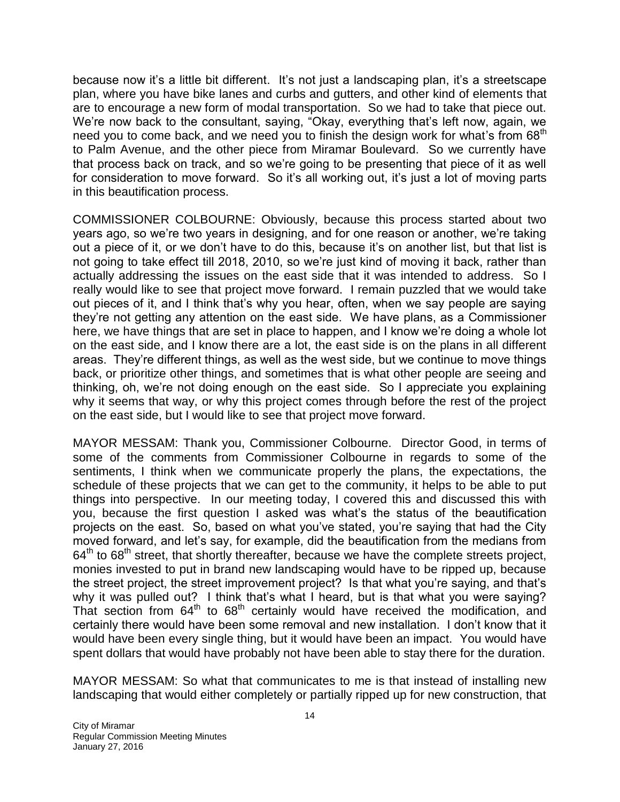because now it's a little bit different. It's not just a landscaping plan, it's a streetscape plan, where you have bike lanes and curbs and gutters, and other kind of elements that are to encourage a new form of modal transportation. So we had to take that piece out. We're now back to the consultant, saying, "Okay, everything that's left now, again, we need you to come back, and we need you to finish the design work for what's from 68<sup>th</sup> to Palm Avenue, and the other piece from Miramar Boulevard. So we currently have that process back on track, and so we're going to be presenting that piece of it as well for consideration to move forward. So it's all working out, it's just a lot of moving parts in this beautification process.

COMMISSIONER COLBOURNE: Obviously, because this process started about two years ago, so we're two years in designing, and for one reason or another, we're taking out a piece of it, or we don't have to do this, because it's on another list, but that list is not going to take effect till 2018, 2010, so we're just kind of moving it back, rather than actually addressing the issues on the east side that it was intended to address. So I really would like to see that project move forward. I remain puzzled that we would take out pieces of it, and I think that's why you hear, often, when we say people are saying they're not getting any attention on the east side. We have plans, as a Commissioner here, we have things that are set in place to happen, and I know we're doing a whole lot on the east side, and I know there are a lot, the east side is on the plans in all different areas. They're different things, as well as the west side, but we continue to move things back, or prioritize other things, and sometimes that is what other people are seeing and thinking, oh, we're not doing enough on the east side. So I appreciate you explaining why it seems that way, or why this project comes through before the rest of the project on the east side, but I would like to see that project move forward.

MAYOR MESSAM: Thank you, Commissioner Colbourne. Director Good, in terms of some of the comments from Commissioner Colbourne in regards to some of the sentiments, I think when we communicate properly the plans, the expectations, the schedule of these projects that we can get to the community, it helps to be able to put things into perspective. In our meeting today, I covered this and discussed this with you, because the first question I asked was what's the status of the beautification projects on the east. So, based on what you've stated, you're saying that had the City moved forward, and let's say, for example, did the beautification from the medians from  $64<sup>th</sup>$  to  $68<sup>th</sup>$  street, that shortly thereafter, because we have the complete streets project, monies invested to put in brand new landscaping would have to be ripped up, because the street project, the street improvement project? Is that what you're saying, and that's why it was pulled out? I think that's what I heard, but is that what you were saying? That section from  $64<sup>th</sup>$  to  $68<sup>th</sup>$  certainly would have received the modification, and certainly there would have been some removal and new installation. I don't know that it would have been every single thing, but it would have been an impact. You would have spent dollars that would have probably not have been able to stay there for the duration.

MAYOR MESSAM: So what that communicates to me is that instead of installing new landscaping that would either completely or partially ripped up for new construction, that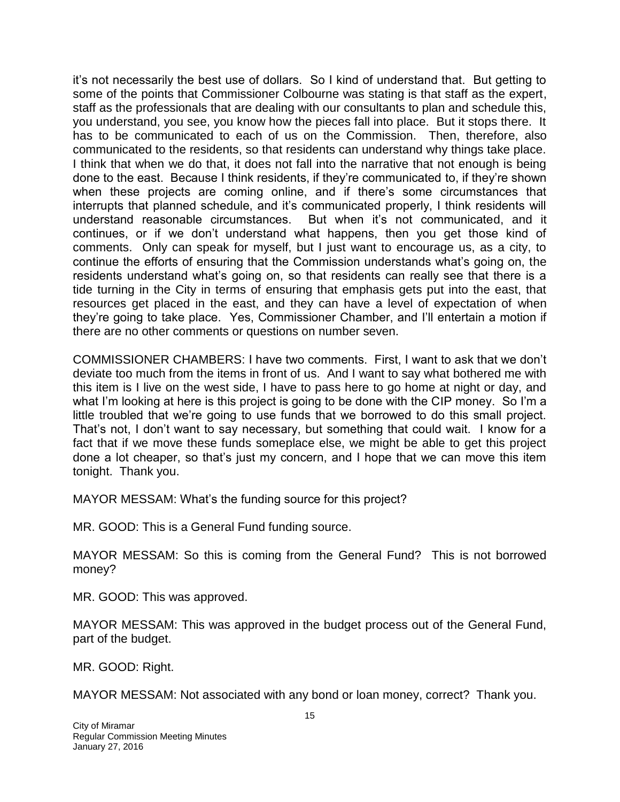it's not necessarily the best use of dollars. So I kind of understand that. But getting to some of the points that Commissioner Colbourne was stating is that staff as the expert, staff as the professionals that are dealing with our consultants to plan and schedule this, you understand, you see, you know how the pieces fall into place. But it stops there. It has to be communicated to each of us on the Commission. Then, therefore, also communicated to the residents, so that residents can understand why things take place. I think that when we do that, it does not fall into the narrative that not enough is being done to the east. Because I think residents, if they're communicated to, if they're shown when these projects are coming online, and if there's some circumstances that interrupts that planned schedule, and it's communicated properly, I think residents will understand reasonable circumstances. But when it's not communicated, and it continues, or if we don't understand what happens, then you get those kind of comments. Only can speak for myself, but I just want to encourage us, as a city, to continue the efforts of ensuring that the Commission understands what's going on, the residents understand what's going on, so that residents can really see that there is a tide turning in the City in terms of ensuring that emphasis gets put into the east, that resources get placed in the east, and they can have a level of expectation of when they're going to take place. Yes, Commissioner Chamber, and I'll entertain a motion if there are no other comments or questions on number seven.

COMMISSIONER CHAMBERS: I have two comments. First, I want to ask that we don't deviate too much from the items in front of us. And I want to say what bothered me with this item is I live on the west side, I have to pass here to go home at night or day, and what I'm looking at here is this project is going to be done with the CIP money. So I'm a little troubled that we're going to use funds that we borrowed to do this small project. That's not, I don't want to say necessary, but something that could wait. I know for a fact that if we move these funds someplace else, we might be able to get this project done a lot cheaper, so that's just my concern, and I hope that we can move this item tonight. Thank you.

MAYOR MESSAM: What's the funding source for this project?

MR. GOOD: This is a General Fund funding source.

MAYOR MESSAM: So this is coming from the General Fund? This is not borrowed money?

MR. GOOD: This was approved.

MAYOR MESSAM: This was approved in the budget process out of the General Fund, part of the budget.

MR. GOOD: Right.

MAYOR MESSAM: Not associated with any bond or loan money, correct? Thank you.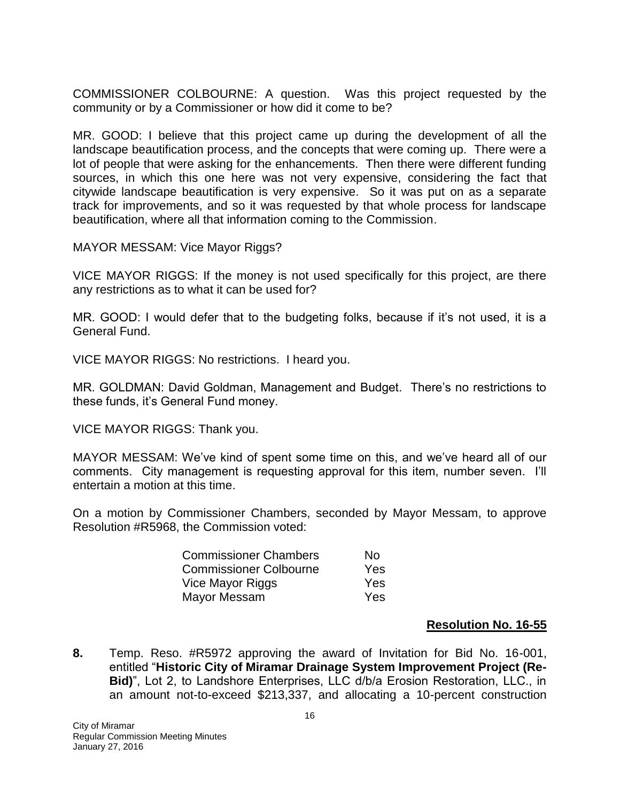COMMISSIONER COLBOURNE: A question. Was this project requested by the community or by a Commissioner or how did it come to be?

MR. GOOD: I believe that this project came up during the development of all the landscape beautification process, and the concepts that were coming up. There were a lot of people that were asking for the enhancements. Then there were different funding sources, in which this one here was not very expensive, considering the fact that citywide landscape beautification is very expensive. So it was put on as a separate track for improvements, and so it was requested by that whole process for landscape beautification, where all that information coming to the Commission.

MAYOR MESSAM: Vice Mayor Riggs?

VICE MAYOR RIGGS: If the money is not used specifically for this project, are there any restrictions as to what it can be used for?

MR. GOOD: I would defer that to the budgeting folks, because if it's not used, it is a General Fund.

VICE MAYOR RIGGS: No restrictions. I heard you.

MR. GOLDMAN: David Goldman, Management and Budget. There's no restrictions to these funds, it's General Fund money.

VICE MAYOR RIGGS: Thank you.

MAYOR MESSAM: We've kind of spent some time on this, and we've heard all of our comments. City management is requesting approval for this item, number seven. I'll entertain a motion at this time.

On a motion by Commissioner Chambers, seconded by Mayor Messam, to approve Resolution #R5968, the Commission voted:

| <b>Commissioner Chambers</b>  | N٥  |
|-------------------------------|-----|
| <b>Commissioner Colbourne</b> | Yes |
| Vice Mayor Riggs              | Yes |
| Mayor Messam                  | Yes |

#### **Resolution No. 16-55**

**8.** Temp. Reso. #R5972 approving the award of Invitation for Bid No. 16-001, entitled "**Historic City of Miramar Drainage System Improvement Project (Re-Bid)**", Lot 2, to Landshore Enterprises, LLC d/b/a Erosion Restoration, LLC., in an amount not-to-exceed \$213,337, and allocating a 10-percent construction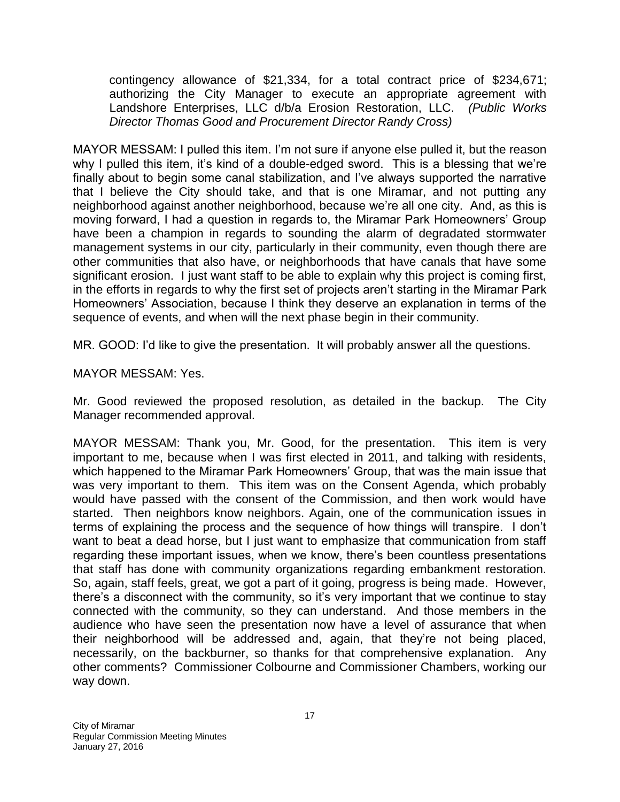contingency allowance of \$21,334, for a total contract price of \$234,671; authorizing the City Manager to execute an appropriate agreement with Landshore Enterprises, LLC d/b/a Erosion Restoration, LLC. *(Public Works Director Thomas Good and Procurement Director Randy Cross)*

MAYOR MESSAM: I pulled this item. I'm not sure if anyone else pulled it, but the reason why I pulled this item, it's kind of a double-edged sword. This is a blessing that we're finally about to begin some canal stabilization, and I've always supported the narrative that I believe the City should take, and that is one Miramar, and not putting any neighborhood against another neighborhood, because we're all one city. And, as this is moving forward, I had a question in regards to, the Miramar Park Homeowners' Group have been a champion in regards to sounding the alarm of degradated stormwater management systems in our city, particularly in their community, even though there are other communities that also have, or neighborhoods that have canals that have some significant erosion. I just want staff to be able to explain why this project is coming first, in the efforts in regards to why the first set of projects aren't starting in the Miramar Park Homeowners' Association, because I think they deserve an explanation in terms of the sequence of events, and when will the next phase begin in their community.

MR. GOOD: I'd like to give the presentation. It will probably answer all the questions.

### MAYOR MESSAM: Yes.

Mr. Good reviewed the proposed resolution, as detailed in the backup. The City Manager recommended approval.

MAYOR MESSAM: Thank you, Mr. Good, for the presentation. This item is very important to me, because when I was first elected in 2011, and talking with residents, which happened to the Miramar Park Homeowners' Group, that was the main issue that was very important to them. This item was on the Consent Agenda, which probably would have passed with the consent of the Commission, and then work would have started. Then neighbors know neighbors. Again, one of the communication issues in terms of explaining the process and the sequence of how things will transpire. I don't want to beat a dead horse, but I just want to emphasize that communication from staff regarding these important issues, when we know, there's been countless presentations that staff has done with community organizations regarding embankment restoration. So, again, staff feels, great, we got a part of it going, progress is being made. However, there's a disconnect with the community, so it's very important that we continue to stay connected with the community, so they can understand. And those members in the audience who have seen the presentation now have a level of assurance that when their neighborhood will be addressed and, again, that they're not being placed, necessarily, on the backburner, so thanks for that comprehensive explanation. Any other comments? Commissioner Colbourne and Commissioner Chambers, working our way down.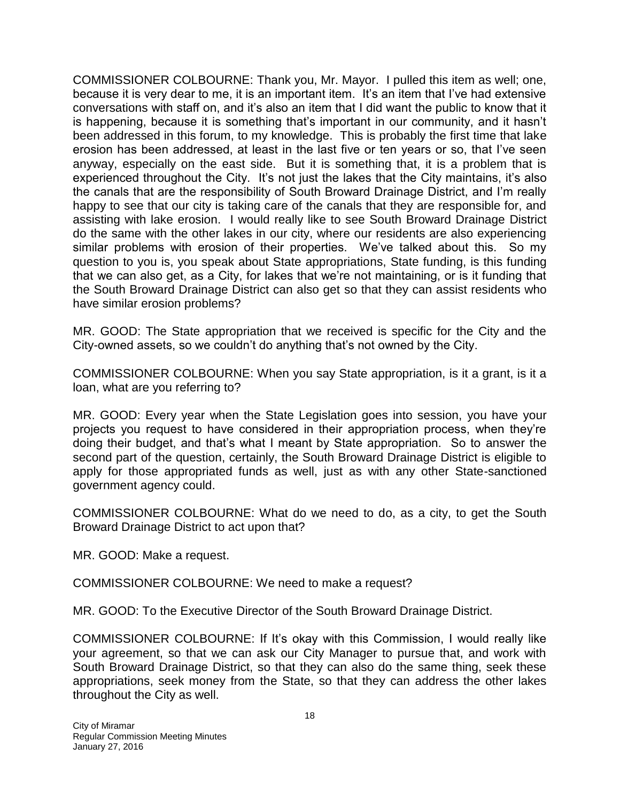COMMISSIONER COLBOURNE: Thank you, Mr. Mayor. I pulled this item as well; one, because it is very dear to me, it is an important item. It's an item that I've had extensive conversations with staff on, and it's also an item that I did want the public to know that it is happening, because it is something that's important in our community, and it hasn't been addressed in this forum, to my knowledge. This is probably the first time that lake erosion has been addressed, at least in the last five or ten years or so, that I've seen anyway, especially on the east side. But it is something that, it is a problem that is experienced throughout the City. It's not just the lakes that the City maintains, it's also the canals that are the responsibility of South Broward Drainage District, and I'm really happy to see that our city is taking care of the canals that they are responsible for, and assisting with lake erosion. I would really like to see South Broward Drainage District do the same with the other lakes in our city, where our residents are also experiencing similar problems with erosion of their properties. We've talked about this. So my question to you is, you speak about State appropriations, State funding, is this funding that we can also get, as a City, for lakes that we're not maintaining, or is it funding that the South Broward Drainage District can also get so that they can assist residents who have similar erosion problems?

MR. GOOD: The State appropriation that we received is specific for the City and the City-owned assets, so we couldn't do anything that's not owned by the City.

COMMISSIONER COLBOURNE: When you say State appropriation, is it a grant, is it a loan, what are you referring to?

MR. GOOD: Every year when the State Legislation goes into session, you have your projects you request to have considered in their appropriation process, when they're doing their budget, and that's what I meant by State appropriation. So to answer the second part of the question, certainly, the South Broward Drainage District is eligible to apply for those appropriated funds as well, just as with any other State-sanctioned government agency could.

COMMISSIONER COLBOURNE: What do we need to do, as a city, to get the South Broward Drainage District to act upon that?

MR. GOOD: Make a request.

COMMISSIONER COLBOURNE: We need to make a request?

MR. GOOD: To the Executive Director of the South Broward Drainage District.

COMMISSIONER COLBOURNE: If It's okay with this Commission, I would really like your agreement, so that we can ask our City Manager to pursue that, and work with South Broward Drainage District, so that they can also do the same thing, seek these appropriations, seek money from the State, so that they can address the other lakes throughout the City as well.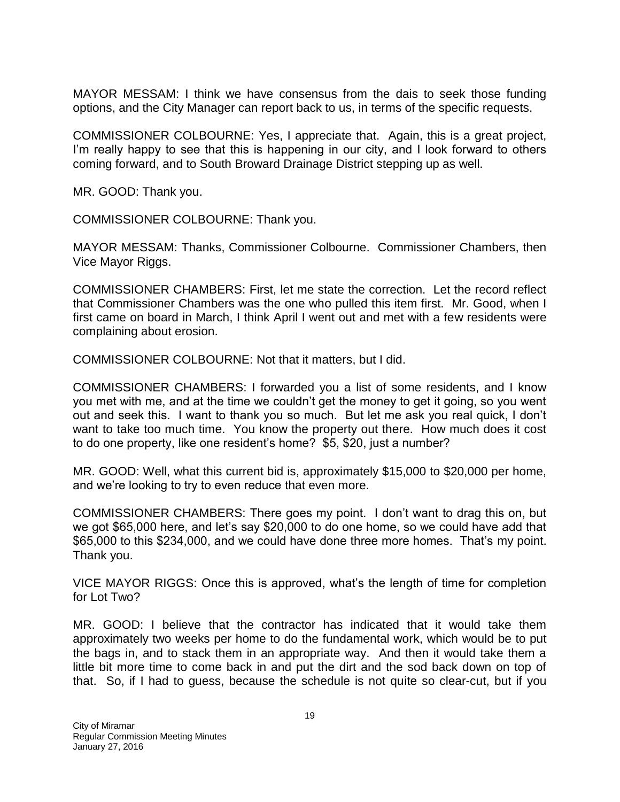MAYOR MESSAM: I think we have consensus from the dais to seek those funding options, and the City Manager can report back to us, in terms of the specific requests.

COMMISSIONER COLBOURNE: Yes, I appreciate that. Again, this is a great project, I'm really happy to see that this is happening in our city, and I look forward to others coming forward, and to South Broward Drainage District stepping up as well.

MR. GOOD: Thank you.

COMMISSIONER COLBOURNE: Thank you.

MAYOR MESSAM: Thanks, Commissioner Colbourne. Commissioner Chambers, then Vice Mayor Riggs.

COMMISSIONER CHAMBERS: First, let me state the correction. Let the record reflect that Commissioner Chambers was the one who pulled this item first. Mr. Good, when I first came on board in March, I think April I went out and met with a few residents were complaining about erosion.

COMMISSIONER COLBOURNE: Not that it matters, but I did.

COMMISSIONER CHAMBERS: I forwarded you a list of some residents, and I know you met with me, and at the time we couldn't get the money to get it going, so you went out and seek this. I want to thank you so much. But let me ask you real quick, I don't want to take too much time. You know the property out there. How much does it cost to do one property, like one resident's home? \$5, \$20, just a number?

MR. GOOD: Well, what this current bid is, approximately \$15,000 to \$20,000 per home, and we're looking to try to even reduce that even more.

COMMISSIONER CHAMBERS: There goes my point. I don't want to drag this on, but we got \$65,000 here, and let's say \$20,000 to do one home, so we could have add that \$65,000 to this \$234,000, and we could have done three more homes. That's my point. Thank you.

VICE MAYOR RIGGS: Once this is approved, what's the length of time for completion for Lot Two?

MR. GOOD: I believe that the contractor has indicated that it would take them approximately two weeks per home to do the fundamental work, which would be to put the bags in, and to stack them in an appropriate way. And then it would take them a little bit more time to come back in and put the dirt and the sod back down on top of that. So, if I had to guess, because the schedule is not quite so clear-cut, but if you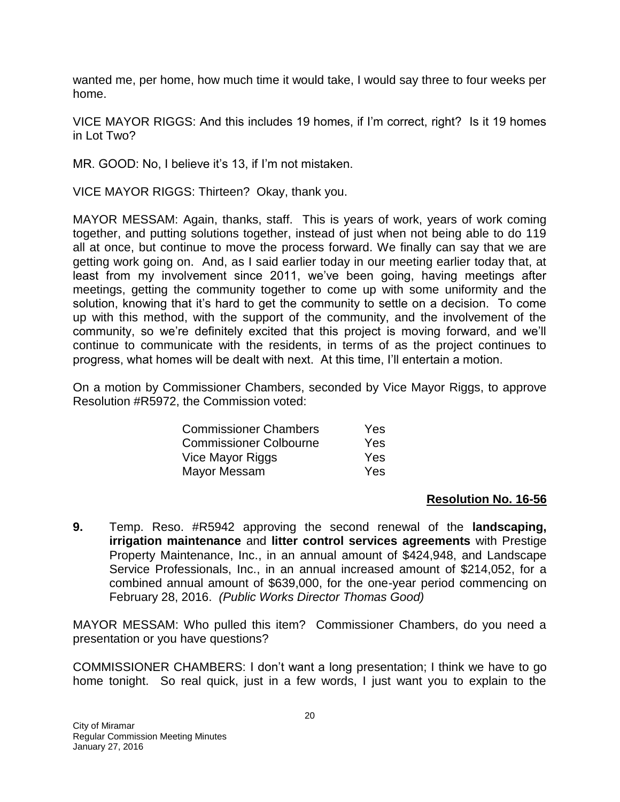wanted me, per home, how much time it would take, I would say three to four weeks per home.

VICE MAYOR RIGGS: And this includes 19 homes, if I'm correct, right? Is it 19 homes in Lot Two?

MR. GOOD: No, I believe it's 13, if I'm not mistaken.

VICE MAYOR RIGGS: Thirteen? Okay, thank you.

MAYOR MESSAM: Again, thanks, staff. This is years of work, years of work coming together, and putting solutions together, instead of just when not being able to do 119 all at once, but continue to move the process forward. We finally can say that we are getting work going on. And, as I said earlier today in our meeting earlier today that, at least from my involvement since 2011, we've been going, having meetings after meetings, getting the community together to come up with some uniformity and the solution, knowing that it's hard to get the community to settle on a decision. To come up with this method, with the support of the community, and the involvement of the community, so we're definitely excited that this project is moving forward, and we'll continue to communicate with the residents, in terms of as the project continues to progress, what homes will be dealt with next. At this time, I'll entertain a motion.

On a motion by Commissioner Chambers, seconded by Vice Mayor Riggs, to approve Resolution #R5972, the Commission voted:

| <b>Commissioner Chambers</b>  | Yes        |
|-------------------------------|------------|
| <b>Commissioner Colbourne</b> | <b>Yes</b> |
| Vice Mayor Riggs              | <b>Yes</b> |
| Mayor Messam                  | Yes        |

#### **Resolution No. 16-56**

**9.** Temp. Reso. #R5942 approving the second renewal of the **landscaping, irrigation maintenance** and **litter control services agreements** with Prestige Property Maintenance, Inc., in an annual amount of \$424,948, and Landscape Service Professionals, Inc., in an annual increased amount of \$214,052, for a combined annual amount of \$639,000, for the one-year period commencing on February 28, 2016. *(Public Works Director Thomas Good)*

MAYOR MESSAM: Who pulled this item? Commissioner Chambers, do you need a presentation or you have questions?

COMMISSIONER CHAMBERS: I don't want a long presentation; I think we have to go home tonight. So real quick, just in a few words, I just want you to explain to the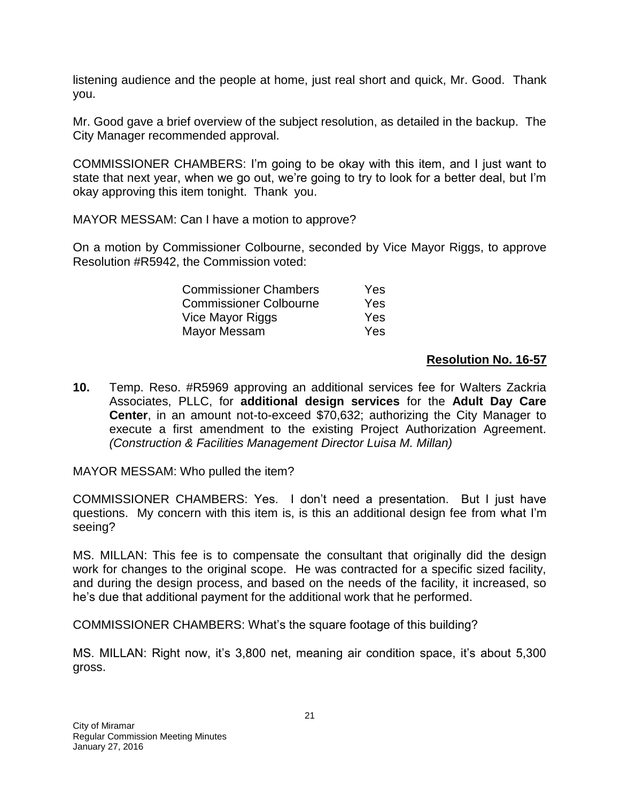listening audience and the people at home, just real short and quick, Mr. Good. Thank you.

Mr. Good gave a brief overview of the subject resolution, as detailed in the backup. The City Manager recommended approval.

COMMISSIONER CHAMBERS: I'm going to be okay with this item, and I just want to state that next year, when we go out, we're going to try to look for a better deal, but I'm okay approving this item tonight. Thank you.

MAYOR MESSAM: Can I have a motion to approve?

On a motion by Commissioner Colbourne, seconded by Vice Mayor Riggs, to approve Resolution #R5942, the Commission voted:

| <b>Commissioner Chambers</b>  | Yes |
|-------------------------------|-----|
| <b>Commissioner Colbourne</b> | Yes |
| Vice Mayor Riggs              | Yes |
| Mayor Messam                  | Yes |

### **Resolution No. 16-57**

**10.** Temp. Reso. #R5969 approving an additional services fee for Walters Zackria Associates, PLLC, for **additional design services** for the **Adult Day Care Center**, in an amount not-to-exceed \$70,632; authorizing the City Manager to execute a first amendment to the existing Project Authorization Agreement. *(Construction & Facilities Management Director Luisa M. Millan)*

MAYOR MESSAM: Who pulled the item?

COMMISSIONER CHAMBERS: Yes. I don't need a presentation. But I just have questions. My concern with this item is, is this an additional design fee from what I'm seeing?

MS. MILLAN: This fee is to compensate the consultant that originally did the design work for changes to the original scope. He was contracted for a specific sized facility. and during the design process, and based on the needs of the facility, it increased, so he's due that additional payment for the additional work that he performed.

COMMISSIONER CHAMBERS: What's the square footage of this building?

MS. MILLAN: Right now, it's 3,800 net, meaning air condition space, it's about 5,300 gross.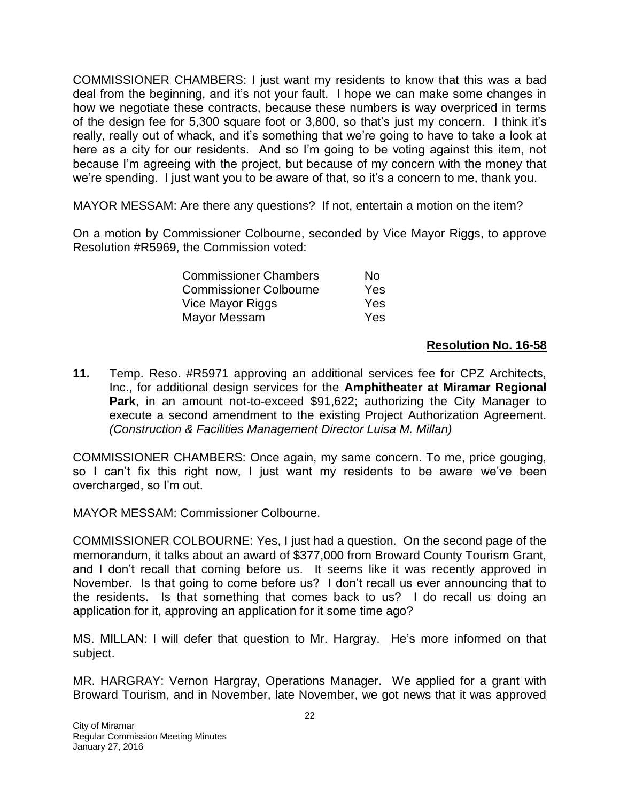COMMISSIONER CHAMBERS: I just want my residents to know that this was a bad deal from the beginning, and it's not your fault. I hope we can make some changes in how we negotiate these contracts, because these numbers is way overpriced in terms of the design fee for 5,300 square foot or 3,800, so that's just my concern. I think it's really, really out of whack, and it's something that we're going to have to take a look at here as a city for our residents. And so I'm going to be voting against this item, not because I'm agreeing with the project, but because of my concern with the money that we're spending. I just want you to be aware of that, so it's a concern to me, thank you.

MAYOR MESSAM: Are there any questions? If not, entertain a motion on the item?

On a motion by Commissioner Colbourne, seconded by Vice Mayor Riggs, to approve Resolution #R5969, the Commission voted:

| <b>Commissioner Chambers</b>  | N٥   |
|-------------------------------|------|
| <b>Commissioner Colbourne</b> | Yes. |
| Vice Mayor Riggs              | Yes  |
| Mayor Messam                  | Yes  |

#### **Resolution No. 16-58**

**11.** Temp. Reso. #R5971 approving an additional services fee for CPZ Architects, Inc., for additional design services for the **Amphitheater at Miramar Regional Park**, in an amount not-to-exceed \$91,622; authorizing the City Manager to execute a second amendment to the existing Project Authorization Agreement. *(Construction & Facilities Management Director Luisa M. Millan)*

COMMISSIONER CHAMBERS: Once again, my same concern. To me, price gouging, so I can't fix this right now, I just want my residents to be aware we've been overcharged, so I'm out.

MAYOR MESSAM: Commissioner Colbourne.

COMMISSIONER COLBOURNE: Yes, I just had a question. On the second page of the memorandum, it talks about an award of \$377,000 from Broward County Tourism Grant, and I don't recall that coming before us. It seems like it was recently approved in November. Is that going to come before us? I don't recall us ever announcing that to the residents. Is that something that comes back to us? I do recall us doing an application for it, approving an application for it some time ago?

MS. MILLAN: I will defer that question to Mr. Hargray. He's more informed on that subject.

MR. HARGRAY: Vernon Hargray, Operations Manager. We applied for a grant with Broward Tourism, and in November, late November, we got news that it was approved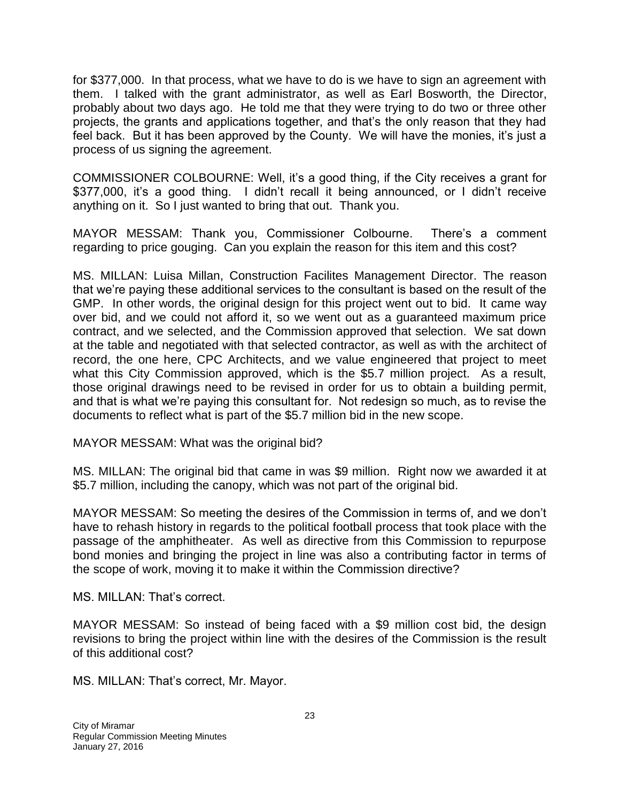for \$377,000. In that process, what we have to do is we have to sign an agreement with them. I talked with the grant administrator, as well as Earl Bosworth, the Director, probably about two days ago. He told me that they were trying to do two or three other projects, the grants and applications together, and that's the only reason that they had feel back. But it has been approved by the County. We will have the monies, it's just a process of us signing the agreement.

COMMISSIONER COLBOURNE: Well, it's a good thing, if the City receives a grant for \$377,000, it's a good thing. I didn't recall it being announced, or I didn't receive anything on it. So I just wanted to bring that out. Thank you.

MAYOR MESSAM: Thank you, Commissioner Colbourne. There's a comment regarding to price gouging. Can you explain the reason for this item and this cost?

MS. MILLAN: Luisa Millan, Construction Facilites Management Director. The reason that we're paying these additional services to the consultant is based on the result of the GMP. In other words, the original design for this project went out to bid. It came way over bid, and we could not afford it, so we went out as a guaranteed maximum price contract, and we selected, and the Commission approved that selection. We sat down at the table and negotiated with that selected contractor, as well as with the architect of record, the one here, CPC Architects, and we value engineered that project to meet what this City Commission approved, which is the \$5.7 million project. As a result, those original drawings need to be revised in order for us to obtain a building permit, and that is what we're paying this consultant for. Not redesign so much, as to revise the documents to reflect what is part of the \$5.7 million bid in the new scope.

MAYOR MESSAM: What was the original bid?

MS. MILLAN: The original bid that came in was \$9 million. Right now we awarded it at \$5.7 million, including the canopy, which was not part of the original bid.

MAYOR MESSAM: So meeting the desires of the Commission in terms of, and we don't have to rehash history in regards to the political football process that took place with the passage of the amphitheater. As well as directive from this Commission to repurpose bond monies and bringing the project in line was also a contributing factor in terms of the scope of work, moving it to make it within the Commission directive?

MS. MILLAN: That's correct.

MAYOR MESSAM: So instead of being faced with a \$9 million cost bid, the design revisions to bring the project within line with the desires of the Commission is the result of this additional cost?

MS. MILLAN: That's correct, Mr. Mayor.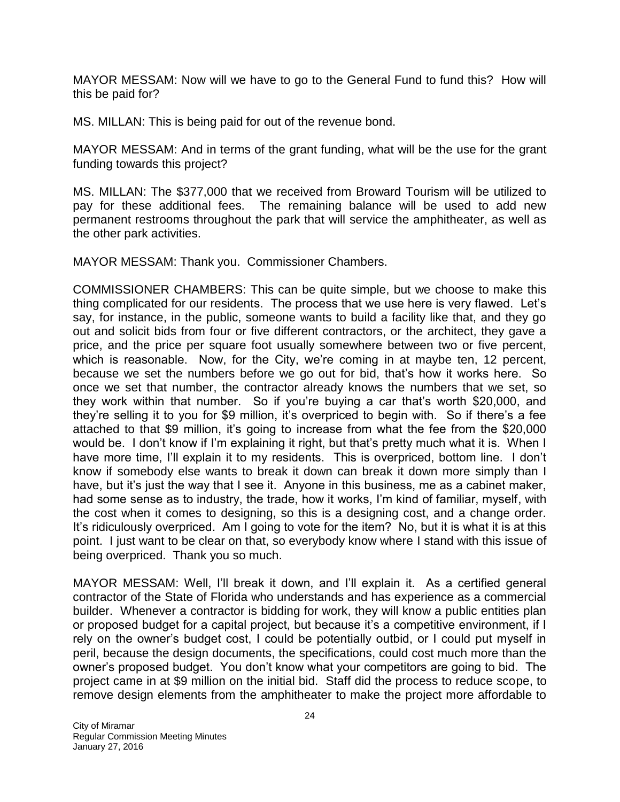MAYOR MESSAM: Now will we have to go to the General Fund to fund this? How will this be paid for?

MS. MILLAN: This is being paid for out of the revenue bond.

MAYOR MESSAM: And in terms of the grant funding, what will be the use for the grant funding towards this project?

MS. MILLAN: The \$377,000 that we received from Broward Tourism will be utilized to pay for these additional fees. The remaining balance will be used to add new permanent restrooms throughout the park that will service the amphitheater, as well as the other park activities.

MAYOR MESSAM: Thank you. Commissioner Chambers.

COMMISSIONER CHAMBERS: This can be quite simple, but we choose to make this thing complicated for our residents. The process that we use here is very flawed. Let's say, for instance, in the public, someone wants to build a facility like that, and they go out and solicit bids from four or five different contractors, or the architect, they gave a price, and the price per square foot usually somewhere between two or five percent, which is reasonable. Now, for the City, we're coming in at maybe ten, 12 percent, because we set the numbers before we go out for bid, that's how it works here. So once we set that number, the contractor already knows the numbers that we set, so they work within that number. So if you're buying a car that's worth \$20,000, and they're selling it to you for \$9 million, it's overpriced to begin with. So if there's a fee attached to that \$9 million, it's going to increase from what the fee from the \$20,000 would be. I don't know if I'm explaining it right, but that's pretty much what it is. When I have more time, I'll explain it to my residents. This is overpriced, bottom line. I don't know if somebody else wants to break it down can break it down more simply than I have, but it's just the way that I see it. Anyone in this business, me as a cabinet maker, had some sense as to industry, the trade, how it works, I'm kind of familiar, myself, with the cost when it comes to designing, so this is a designing cost, and a change order. It's ridiculously overpriced. Am I going to vote for the item? No, but it is what it is at this point. I just want to be clear on that, so everybody know where I stand with this issue of being overpriced. Thank you so much.

MAYOR MESSAM: Well, I'll break it down, and I'll explain it. As a certified general contractor of the State of Florida who understands and has experience as a commercial builder. Whenever a contractor is bidding for work, they will know a public entities plan or proposed budget for a capital project, but because it's a competitive environment, if I rely on the owner's budget cost, I could be potentially outbid, or I could put myself in peril, because the design documents, the specifications, could cost much more than the owner's proposed budget. You don't know what your competitors are going to bid. The project came in at \$9 million on the initial bid. Staff did the process to reduce scope, to remove design elements from the amphitheater to make the project more affordable to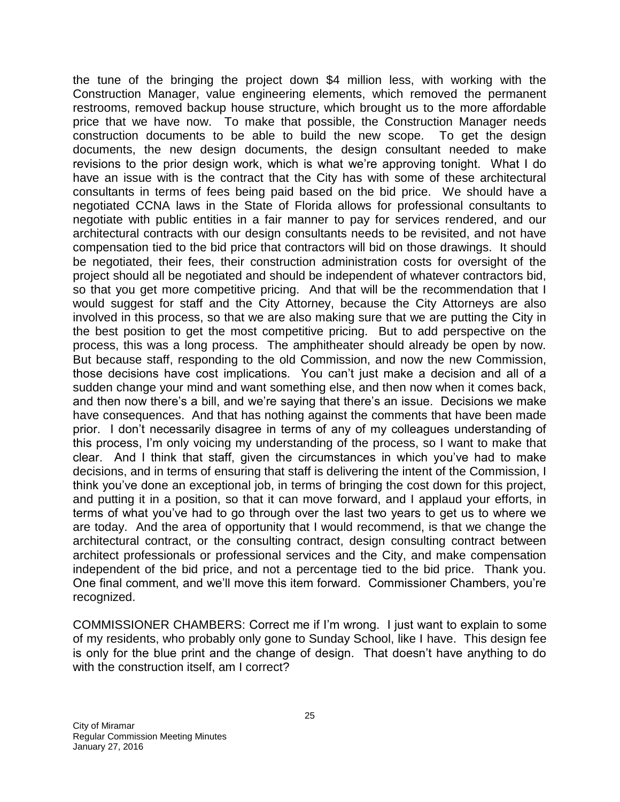the tune of the bringing the project down \$4 million less, with working with the Construction Manager, value engineering elements, which removed the permanent restrooms, removed backup house structure, which brought us to the more affordable price that we have now. To make that possible, the Construction Manager needs construction documents to be able to build the new scope. To get the design documents, the new design documents, the design consultant needed to make revisions to the prior design work, which is what we're approving tonight. What I do have an issue with is the contract that the City has with some of these architectural consultants in terms of fees being paid based on the bid price. We should have a negotiated CCNA laws in the State of Florida allows for professional consultants to negotiate with public entities in a fair manner to pay for services rendered, and our architectural contracts with our design consultants needs to be revisited, and not have compensation tied to the bid price that contractors will bid on those drawings. It should be negotiated, their fees, their construction administration costs for oversight of the project should all be negotiated and should be independent of whatever contractors bid, so that you get more competitive pricing. And that will be the recommendation that I would suggest for staff and the City Attorney, because the City Attorneys are also involved in this process, so that we are also making sure that we are putting the City in the best position to get the most competitive pricing. But to add perspective on the process, this was a long process. The amphitheater should already be open by now. But because staff, responding to the old Commission, and now the new Commission, those decisions have cost implications. You can't just make a decision and all of a sudden change your mind and want something else, and then now when it comes back, and then now there's a bill, and we're saying that there's an issue. Decisions we make have consequences. And that has nothing against the comments that have been made prior. I don't necessarily disagree in terms of any of my colleagues understanding of this process, I'm only voicing my understanding of the process, so I want to make that clear. And I think that staff, given the circumstances in which you've had to make decisions, and in terms of ensuring that staff is delivering the intent of the Commission, I think you've done an exceptional job, in terms of bringing the cost down for this project, and putting it in a position, so that it can move forward, and I applaud your efforts, in terms of what you've had to go through over the last two years to get us to where we are today. And the area of opportunity that I would recommend, is that we change the architectural contract, or the consulting contract, design consulting contract between architect professionals or professional services and the City, and make compensation independent of the bid price, and not a percentage tied to the bid price. Thank you. One final comment, and we'll move this item forward. Commissioner Chambers, you're recognized.

COMMISSIONER CHAMBERS: Correct me if I'm wrong. I just want to explain to some of my residents, who probably only gone to Sunday School, like I have. This design fee is only for the blue print and the change of design. That doesn't have anything to do with the construction itself, am I correct?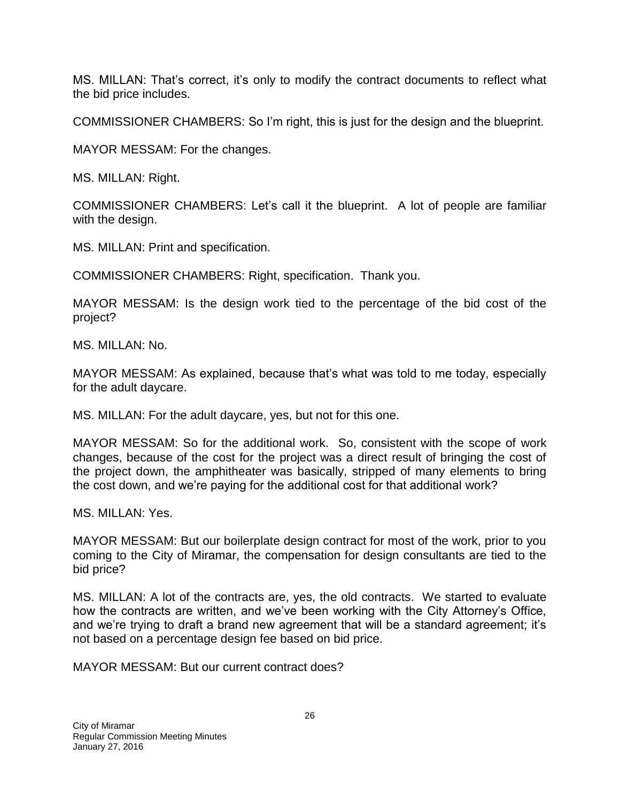MS. MILLAN: That's correct, it's only to modify the contract documents to reflect what the bid price includes.

COMMISSIONER CHAMBERS: So I'm right, this is just for the design and the blueprint.

MAYOR MESSAM: For the changes.

MS. MILLAN: Right.

COMMISSIONER CHAMBERS: Let's call it the blueprint. A lot of people are familiar with the design.

MS. MILLAN: Print and specification.

COMMISSIONER CHAMBERS: Right, specification. Thank you.

MAYOR MESSAM: Is the design work tied to the percentage of the bid cost of the project?

MS. MILLAN: No.

MAYOR MESSAM: As explained, because that's what was told to me today, especially for the adult daycare.

MS. MILLAN: For the adult daycare, yes, but not for this one.

MAYOR MESSAM: So for the additional work. So, consistent with the scope of work changes, because of the cost for the project was a direct result of bringing the cost of the project down, the amphitheater was basically, stripped of many elements to bring the cost down, and we're paying for the additional cost for that additional work?

MS. MILLAN: Yes.

MAYOR MESSAM: But our boilerplate design contract for most of the work, prior to you coming to the City of Miramar, the compensation for design consultants are tied to the bid price?

MS. MILLAN: A lot of the contracts are, yes, the old contracts. We started to evaluate how the contracts are written, and we've been working with the City Attorney's Office, and we're trying to draft a brand new agreement that will be a standard agreement; it's not based on a percentage design fee based on bid price.

MAYOR MESSAM: But our current contract does?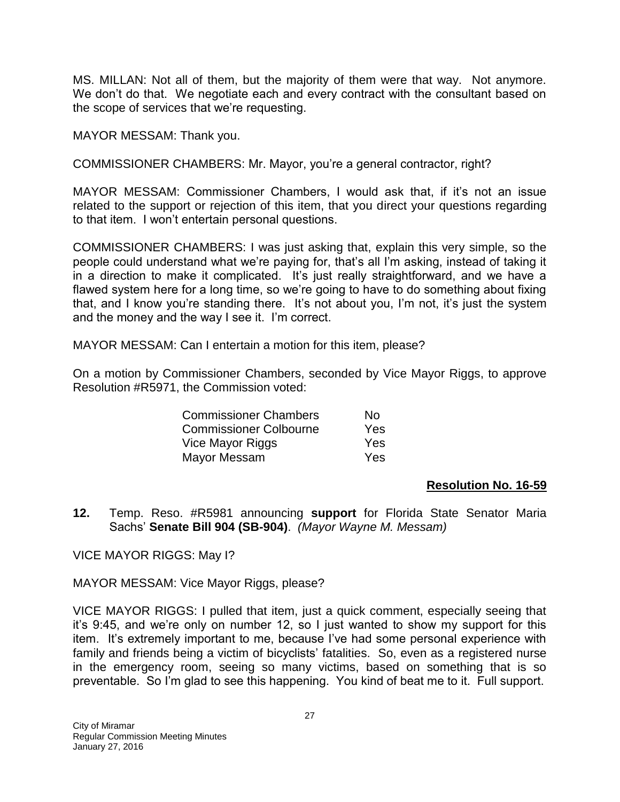MS. MILLAN: Not all of them, but the majority of them were that way. Not anymore. We don't do that. We negotiate each and every contract with the consultant based on the scope of services that we're requesting.

MAYOR MESSAM: Thank you.

COMMISSIONER CHAMBERS: Mr. Mayor, you're a general contractor, right?

MAYOR MESSAM: Commissioner Chambers, I would ask that, if it's not an issue related to the support or rejection of this item, that you direct your questions regarding to that item. I won't entertain personal questions.

COMMISSIONER CHAMBERS: I was just asking that, explain this very simple, so the people could understand what we're paying for, that's all I'm asking, instead of taking it in a direction to make it complicated. It's just really straightforward, and we have a flawed system here for a long time, so we're going to have to do something about fixing that, and I know you're standing there. It's not about you, I'm not, it's just the system and the money and the way I see it. I'm correct.

MAYOR MESSAM: Can I entertain a motion for this item, please?

On a motion by Commissioner Chambers, seconded by Vice Mayor Riggs, to approve Resolution #R5971, the Commission voted:

| <b>Commissioner Chambers</b>  | N٥         |
|-------------------------------|------------|
| <b>Commissioner Colbourne</b> | <b>Yes</b> |
| Vice Mayor Riggs              | Yes        |
| Mayor Messam                  | Yes        |

#### **Resolution No. 16-59**

**12.** Temp. Reso. #R5981 announcing **support** for Florida State Senator Maria Sachs' **Senate Bill 904 (SB-904)**. *(Mayor Wayne M. Messam)*

VICE MAYOR RIGGS: May I?

MAYOR MESSAM: Vice Mayor Riggs, please?

VICE MAYOR RIGGS: I pulled that item, just a quick comment, especially seeing that it's 9:45, and we're only on number 12, so I just wanted to show my support for this item. It's extremely important to me, because I've had some personal experience with family and friends being a victim of bicyclists' fatalities. So, even as a registered nurse in the emergency room, seeing so many victims, based on something that is so preventable. So I'm glad to see this happening. You kind of beat me to it. Full support.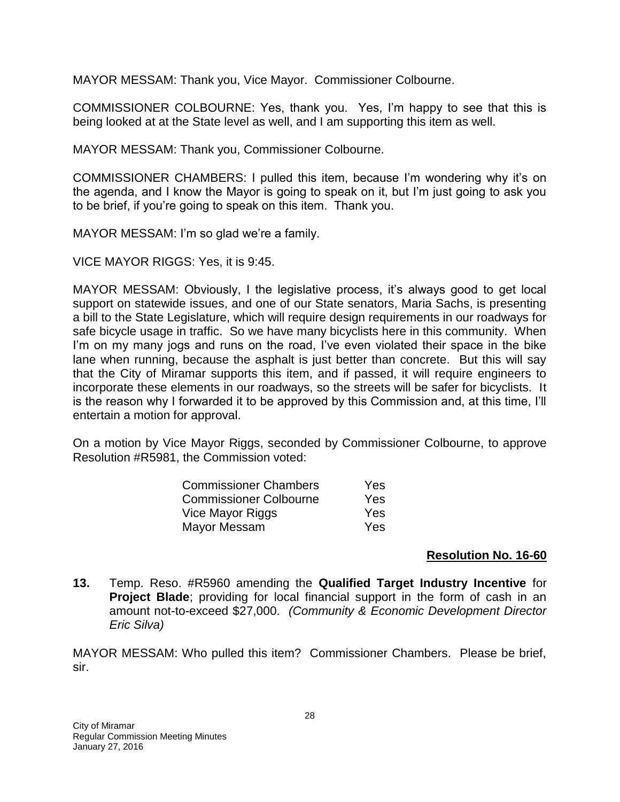MAYOR MESSAM: Thank you, Vice Mayor. Commissioner Colbourne.

COMMISSIONER COLBOURNE: Yes, thank you. Yes, I'm happy to see that this is being looked at at the State level as well, and I am supporting this item as well.

MAYOR MESSAM: Thank you, Commissioner Colbourne.

COMMISSIONER CHAMBERS: I pulled this item, because I'm wondering why it's on the agenda, and I know the Mayor is going to speak on it, but I'm just going to ask you to be brief, if you're going to speak on this item. Thank you.

MAYOR MESSAM: I'm so glad we're a family.

VICE MAYOR RIGGS: Yes, it is 9:45.

MAYOR MESSAM: Obviously, I the legislative process, it's always good to get local support on statewide issues, and one of our State senators, Maria Sachs, is presenting a bill to the State Legislature, which will require design requirements in our roadways for safe bicycle usage in traffic. So we have many bicyclists here in this community. When I'm on my many jogs and runs on the road, I've even violated their space in the bike lane when running, because the asphalt is just better than concrete. But this will say that the City of Miramar supports this item, and if passed, it will require engineers to incorporate these elements in our roadways, so the streets will be safer for bicyclists. It is the reason why I forwarded it to be approved by this Commission and, at this time, I'll entertain a motion for approval.

On a motion by Vice Mayor Riggs, seconded by Commissioner Colbourne, to approve Resolution #R5981, the Commission voted:

| <b>Commissioner Chambers</b>  | Yes        |
|-------------------------------|------------|
| <b>Commissioner Colbourne</b> | Yes        |
| Vice Mayor Riggs              | <b>Yes</b> |
| Mayor Messam                  | Yes        |

#### **Resolution No. 16-60**

**13.** Temp. Reso. #R5960 amending the **Qualified Target Industry Incentive** for **Project Blade**; providing for local financial support in the form of cash in an amount not-to-exceed \$27,000. *(Community & Economic Development Director Eric Silva)*

MAYOR MESSAM: Who pulled this item? Commissioner Chambers. Please be brief, sir.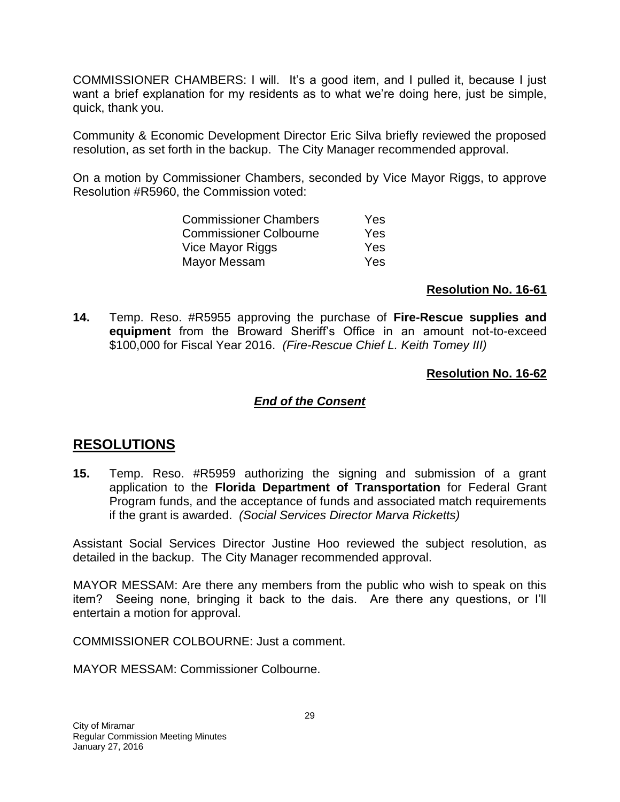COMMISSIONER CHAMBERS: I will. It's a good item, and I pulled it, because I just want a brief explanation for my residents as to what we're doing here, just be simple, quick, thank you.

Community & Economic Development Director Eric Silva briefly reviewed the proposed resolution, as set forth in the backup. The City Manager recommended approval.

On a motion by Commissioner Chambers, seconded by Vice Mayor Riggs, to approve Resolution #R5960, the Commission voted:

| Yes |
|-----|
| Yes |
| Yes |
| Yes |
|     |

#### **Resolution No. 16-61**

**14.** Temp. Reso. #R5955 approving the purchase of **Fire-Rescue supplies and equipment** from the Broward Sheriff's Office in an amount not-to-exceed \$100,000 for Fiscal Year 2016. *(Fire-Rescue Chief L. Keith Tomey III)*

### **Resolution No. 16-62**

### *End of the Consent*

## **RESOLUTIONS**

**15.** Temp. Reso. #R5959 authorizing the signing and submission of a grant application to the **Florida Department of Transportation** for Federal Grant Program funds, and the acceptance of funds and associated match requirements if the grant is awarded. *(Social Services Director Marva Ricketts)*

Assistant Social Services Director Justine Hoo reviewed the subject resolution, as detailed in the backup. The City Manager recommended approval.

MAYOR MESSAM: Are there any members from the public who wish to speak on this item? Seeing none, bringing it back to the dais. Are there any questions, or I'll entertain a motion for approval.

COMMISSIONER COLBOURNE: Just a comment.

MAYOR MESSAM: Commissioner Colbourne.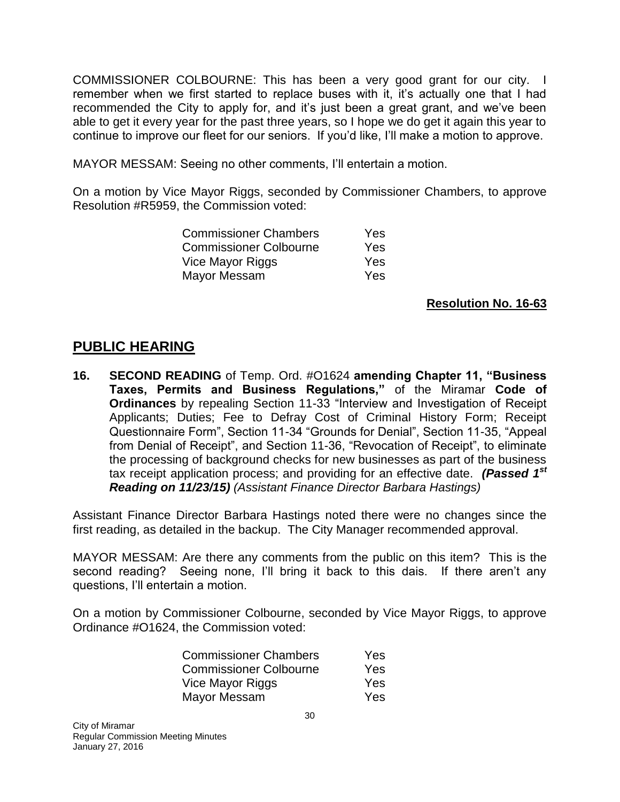COMMISSIONER COLBOURNE: This has been a very good grant for our city. I remember when we first started to replace buses with it, it's actually one that I had recommended the City to apply for, and it's just been a great grant, and we've been able to get it every year for the past three years, so I hope we do get it again this year to continue to improve our fleet for our seniors. If you'd like, I'll make a motion to approve.

MAYOR MESSAM: Seeing no other comments, I'll entertain a motion.

On a motion by Vice Mayor Riggs, seconded by Commissioner Chambers, to approve Resolution #R5959, the Commission voted:

| <b>Commissioner Chambers</b>  | Yes |
|-------------------------------|-----|
| <b>Commissioner Colbourne</b> | Yes |
| Vice Mayor Riggs              | Yes |
| Mayor Messam                  | Yes |

## **Resolution No. 16-63**

## **PUBLIC HEARING**

**16. SECOND READING** of Temp. Ord. #O1624 **amending Chapter 11, "Business Taxes, Permits and Business Regulations,"** of the Miramar **Code of Ordinances** by repealing Section 11-33 "Interview and Investigation of Receipt Applicants; Duties; Fee to Defray Cost of Criminal History Form; Receipt Questionnaire Form", Section 11-34 "Grounds for Denial", Section 11-35, "Appeal from Denial of Receipt", and Section 11-36, "Revocation of Receipt", to eliminate the processing of background checks for new businesses as part of the business tax receipt application process; and providing for an effective date. *(Passed 1st Reading on 11/23/15) (Assistant Finance Director Barbara Hastings)*

Assistant Finance Director Barbara Hastings noted there were no changes since the first reading, as detailed in the backup. The City Manager recommended approval.

MAYOR MESSAM: Are there any comments from the public on this item? This is the second reading? Seeing none, I'll bring it back to this dais. If there aren't any questions, I'll entertain a motion.

On a motion by Commissioner Colbourne, seconded by Vice Mayor Riggs, to approve Ordinance #O1624, the Commission voted:

| <b>Commissioner Chambers</b>  | Yes |
|-------------------------------|-----|
| <b>Commissioner Colbourne</b> | Yes |
| Vice Mayor Riggs              | Yes |
| Mayor Messam                  | Yes |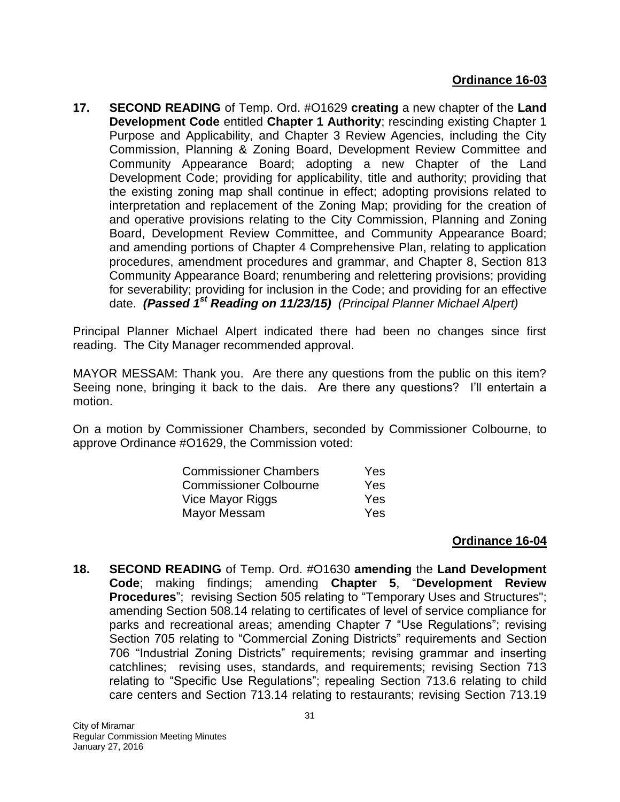**17. SECOND READING** of Temp. Ord. #O1629 **creating** a new chapter of the **Land Development Code** entitled **Chapter 1 Authority**; rescinding existing Chapter 1 Purpose and Applicability, and Chapter 3 Review Agencies, including the City Commission, Planning & Zoning Board, Development Review Committee and Community Appearance Board; adopting a new Chapter of the Land Development Code; providing for applicability, title and authority; providing that the existing zoning map shall continue in effect; adopting provisions related to interpretation and replacement of the Zoning Map; providing for the creation of and operative provisions relating to the City Commission, Planning and Zoning Board, Development Review Committee, and Community Appearance Board; and amending portions of Chapter 4 Comprehensive Plan, relating to application procedures, amendment procedures and grammar, and Chapter 8, Section 813 Community Appearance Board; renumbering and relettering provisions; providing for severability; providing for inclusion in the Code; and providing for an effective date. *(Passed 1st Reading on 11/23/15) (Principal Planner Michael Alpert)*

Principal Planner Michael Alpert indicated there had been no changes since first reading. The City Manager recommended approval.

MAYOR MESSAM: Thank you. Are there any questions from the public on this item? Seeing none, bringing it back to the dais. Are there any questions? I'll entertain a motion.

On a motion by Commissioner Chambers, seconded by Commissioner Colbourne, to approve Ordinance #O1629, the Commission voted:

| <b>Commissioner Chambers</b>  | <b>Yes</b> |
|-------------------------------|------------|
| <b>Commissioner Colbourne</b> | Yes        |
| Vice Mayor Riggs              | <b>Yes</b> |
| Mayor Messam                  | <b>Yes</b> |

## **Ordinance 16-04**

**18. SECOND READING** of Temp. Ord. #O1630 **amending** the **Land Development Code**; making findings; amending **Chapter 5**, "**Development Review Procedures**"; revising Section 505 relating to "Temporary Uses and Structures"; amending Section 508.14 relating to certificates of level of service compliance for parks and recreational areas; amending Chapter 7 "Use Regulations"; revising Section 705 relating to "Commercial Zoning Districts" requirements and Section 706 "Industrial Zoning Districts" requirements; revising grammar and inserting catchlines; revising uses, standards, and requirements; revising Section 713 relating to "Specific Use Regulations"; repealing Section 713.6 relating to child care centers and Section 713.14 relating to restaurants; revising Section 713.19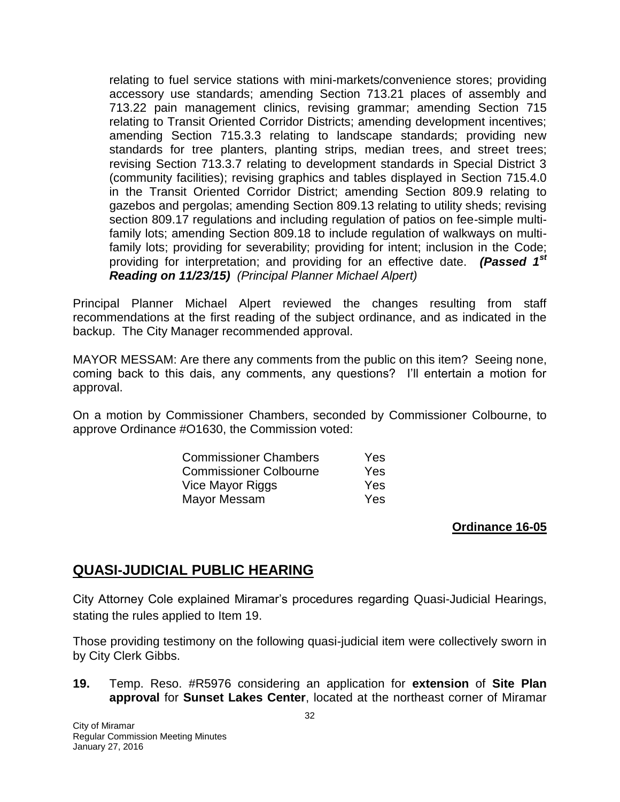relating to fuel service stations with mini-markets/convenience stores; providing accessory use standards; amending Section 713.21 places of assembly and 713.22 pain management clinics, revising grammar; amending Section 715 relating to Transit Oriented Corridor Districts; amending development incentives; amending Section 715.3.3 relating to landscape standards; providing new standards for tree planters, planting strips, median trees, and street trees; revising Section 713.3.7 relating to development standards in Special District 3 (community facilities); revising graphics and tables displayed in Section 715.4.0 in the Transit Oriented Corridor District; amending Section 809.9 relating to gazebos and pergolas; amending Section 809.13 relating to utility sheds; revising section 809.17 regulations and including regulation of patios on fee-simple multifamily lots; amending Section 809.18 to include regulation of walkways on multifamily lots; providing for severability; providing for intent; inclusion in the Code; providing for interpretation; and providing for an effective date. *(Passed 1st Reading on 11/23/15) (Principal Planner Michael Alpert)*

Principal Planner Michael Alpert reviewed the changes resulting from staff recommendations at the first reading of the subject ordinance, and as indicated in the backup. The City Manager recommended approval.

MAYOR MESSAM: Are there any comments from the public on this item? Seeing none, coming back to this dais, any comments, any questions? I'll entertain a motion for approval.

On a motion by Commissioner Chambers, seconded by Commissioner Colbourne, to approve Ordinance #O1630, the Commission voted:

| <b>Commissioner Chambers</b>  | <b>Yes</b> |
|-------------------------------|------------|
| <b>Commissioner Colbourne</b> | <b>Yes</b> |
| Vice Mayor Riggs              | Yes        |
| Mayor Messam                  | <b>Yes</b> |

## **Ordinance 16-05**

# **QUASI-JUDICIAL PUBLIC HEARING**

City Attorney Cole explained Miramar's procedures regarding Quasi-Judicial Hearings, stating the rules applied to Item 19.

Those providing testimony on the following quasi-judicial item were collectively sworn in by City Clerk Gibbs.

**19.** Temp. Reso. #R5976 considering an application for **extension** of **Site Plan approval** for **Sunset Lakes Center**, located at the northeast corner of Miramar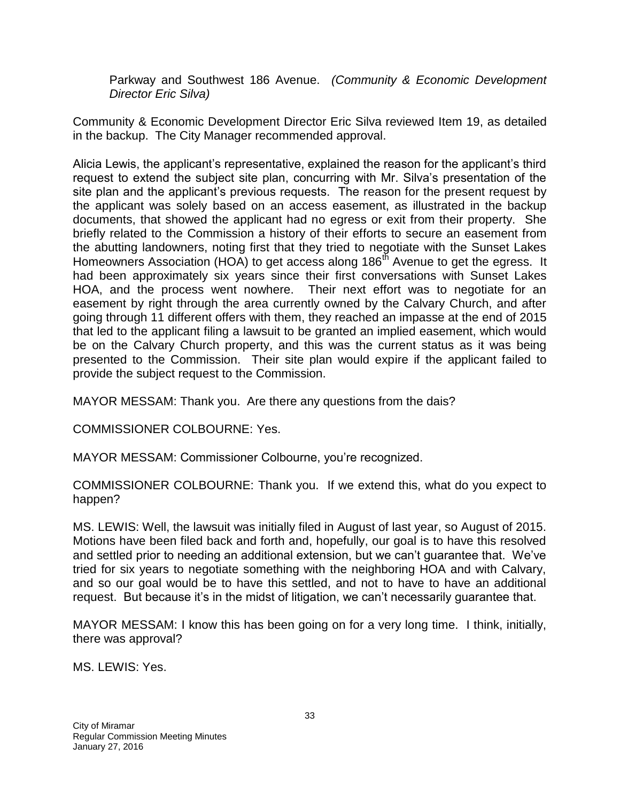Parkway and Southwest 186 Avenue. *(Community & Economic Development Director Eric Silva)*

Community & Economic Development Director Eric Silva reviewed Item 19, as detailed in the backup. The City Manager recommended approval.

Alicia Lewis, the applicant's representative, explained the reason for the applicant's third request to extend the subject site plan, concurring with Mr. Silva's presentation of the site plan and the applicant's previous requests. The reason for the present request by the applicant was solely based on an access easement, as illustrated in the backup documents, that showed the applicant had no egress or exit from their property. She briefly related to the Commission a history of their efforts to secure an easement from the abutting landowners, noting first that they tried to negotiate with the Sunset Lakes Homeowners Association (HOA) to get access along 186<sup>th</sup> Avenue to get the egress. It had been approximately six years since their first conversations with Sunset Lakes HOA, and the process went nowhere. Their next effort was to negotiate for an easement by right through the area currently owned by the Calvary Church, and after going through 11 different offers with them, they reached an impasse at the end of 2015 that led to the applicant filing a lawsuit to be granted an implied easement, which would be on the Calvary Church property, and this was the current status as it was being presented to the Commission. Their site plan would expire if the applicant failed to provide the subject request to the Commission.

MAYOR MESSAM: Thank you. Are there any questions from the dais?

COMMISSIONER COLBOURNE: Yes.

MAYOR MESSAM: Commissioner Colbourne, you're recognized.

COMMISSIONER COLBOURNE: Thank you. If we extend this, what do you expect to happen?

MS. LEWIS: Well, the lawsuit was initially filed in August of last year, so August of 2015. Motions have been filed back and forth and, hopefully, our goal is to have this resolved and settled prior to needing an additional extension, but we can't guarantee that. We've tried for six years to negotiate something with the neighboring HOA and with Calvary, and so our goal would be to have this settled, and not to have to have an additional request. But because it's in the midst of litigation, we can't necessarily guarantee that.

MAYOR MESSAM: I know this has been going on for a very long time. I think, initially, there was approval?

MS. LEWIS: Yes.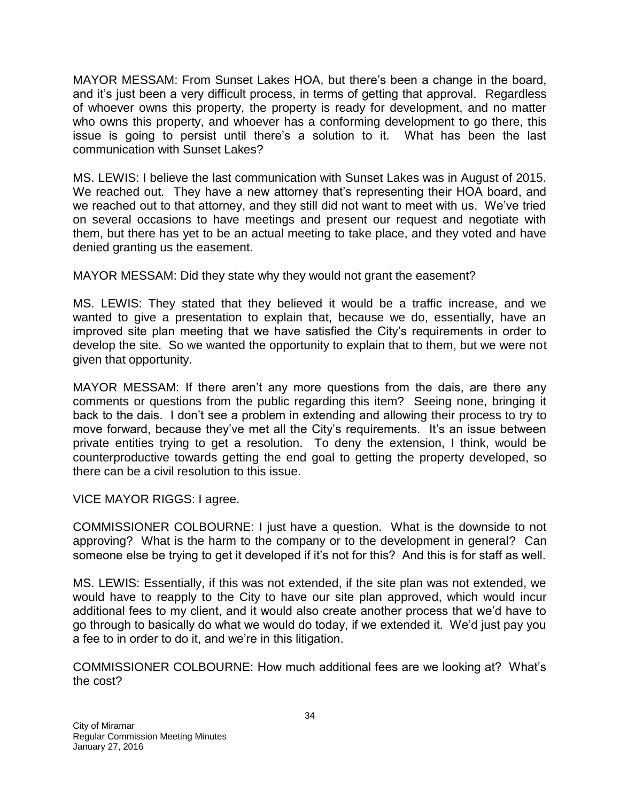MAYOR MESSAM: From Sunset Lakes HOA, but there's been a change in the board, and it's just been a very difficult process, in terms of getting that approval. Regardless of whoever owns this property, the property is ready for development, and no matter who owns this property, and whoever has a conforming development to go there, this issue is going to persist until there's a solution to it. What has been the last communication with Sunset Lakes?

MS. LEWIS: I believe the last communication with Sunset Lakes was in August of 2015. We reached out. They have a new attorney that's representing their HOA board, and we reached out to that attorney, and they still did not want to meet with us. We've tried on several occasions to have meetings and present our request and negotiate with them, but there has yet to be an actual meeting to take place, and they voted and have denied granting us the easement.

MAYOR MESSAM: Did they state why they would not grant the easement?

MS. LEWIS: They stated that they believed it would be a traffic increase, and we wanted to give a presentation to explain that, because we do, essentially, have an improved site plan meeting that we have satisfied the City's requirements in order to develop the site. So we wanted the opportunity to explain that to them, but we were not given that opportunity.

MAYOR MESSAM: If there aren't any more questions from the dais, are there any comments or questions from the public regarding this item? Seeing none, bringing it back to the dais. I don't see a problem in extending and allowing their process to try to move forward, because they've met all the City's requirements. It's an issue between private entities trying to get a resolution. To deny the extension, I think, would be counterproductive towards getting the end goal to getting the property developed, so there can be a civil resolution to this issue.

VICE MAYOR RIGGS: I agree.

COMMISSIONER COLBOURNE: I just have a question. What is the downside to not approving? What is the harm to the company or to the development in general? Can someone else be trying to get it developed if it's not for this? And this is for staff as well.

MS. LEWIS: Essentially, if this was not extended, if the site plan was not extended, we would have to reapply to the City to have our site plan approved, which would incur additional fees to my client, and it would also create another process that we'd have to go through to basically do what we would do today, if we extended it. We'd just pay you a fee to in order to do it, and we're in this litigation.

COMMISSIONER COLBOURNE: How much additional fees are we looking at? What's the cost?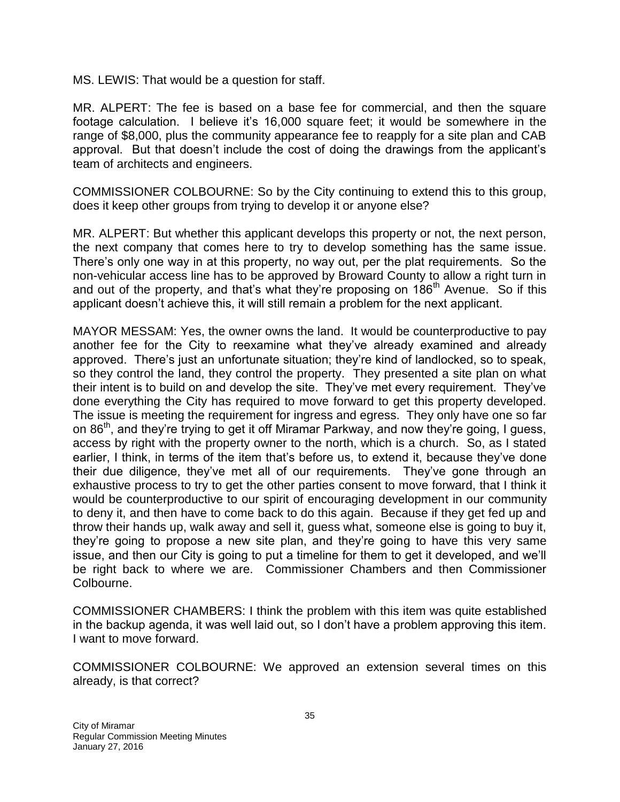MS. LEWIS: That would be a question for staff.

MR. ALPERT: The fee is based on a base fee for commercial, and then the square footage calculation. I believe it's 16,000 square feet; it would be somewhere in the range of \$8,000, plus the community appearance fee to reapply for a site plan and CAB approval. But that doesn't include the cost of doing the drawings from the applicant's team of architects and engineers.

COMMISSIONER COLBOURNE: So by the City continuing to extend this to this group, does it keep other groups from trying to develop it or anyone else?

MR. ALPERT: But whether this applicant develops this property or not, the next person, the next company that comes here to try to develop something has the same issue. There's only one way in at this property, no way out, per the plat requirements. So the non-vehicular access line has to be approved by Broward County to allow a right turn in and out of the property, and that's what they're proposing on 186<sup>th</sup> Avenue. So if this applicant doesn't achieve this, it will still remain a problem for the next applicant.

MAYOR MESSAM: Yes, the owner owns the land. It would be counterproductive to pay another fee for the City to reexamine what they've already examined and already approved. There's just an unfortunate situation; they're kind of landlocked, so to speak, so they control the land, they control the property. They presented a site plan on what their intent is to build on and develop the site. They've met every requirement. They've done everything the City has required to move forward to get this property developed. The issue is meeting the requirement for ingress and egress. They only have one so far on 86<sup>th</sup>, and they're trying to get it off Miramar Parkway, and now they're going, I guess, access by right with the property owner to the north, which is a church. So, as I stated earlier, I think, in terms of the item that's before us, to extend it, because they've done their due diligence, they've met all of our requirements. They've gone through an exhaustive process to try to get the other parties consent to move forward, that I think it would be counterproductive to our spirit of encouraging development in our community to deny it, and then have to come back to do this again. Because if they get fed up and throw their hands up, walk away and sell it, guess what, someone else is going to buy it, they're going to propose a new site plan, and they're going to have this very same issue, and then our City is going to put a timeline for them to get it developed, and we'll be right back to where we are. Commissioner Chambers and then Commissioner Colbourne.

COMMISSIONER CHAMBERS: I think the problem with this item was quite established in the backup agenda, it was well laid out, so I don't have a problem approving this item. I want to move forward.

COMMISSIONER COLBOURNE: We approved an extension several times on this already, is that correct?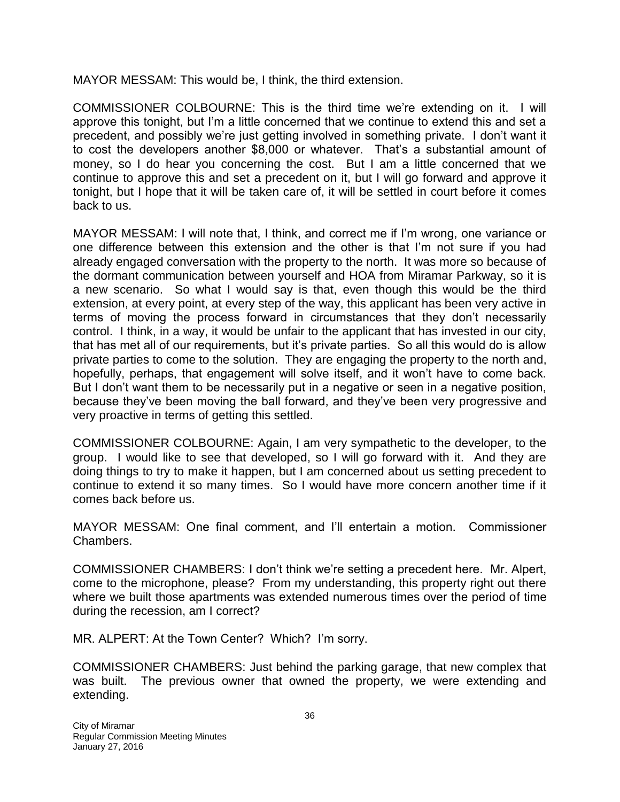MAYOR MESSAM: This would be, I think, the third extension.

COMMISSIONER COLBOURNE: This is the third time we're extending on it. I will approve this tonight, but I'm a little concerned that we continue to extend this and set a precedent, and possibly we're just getting involved in something private. I don't want it to cost the developers another \$8,000 or whatever. That's a substantial amount of money, so I do hear you concerning the cost. But I am a little concerned that we continue to approve this and set a precedent on it, but I will go forward and approve it tonight, but I hope that it will be taken care of, it will be settled in court before it comes back to us.

MAYOR MESSAM: I will note that, I think, and correct me if I'm wrong, one variance or one difference between this extension and the other is that I'm not sure if you had already engaged conversation with the property to the north. It was more so because of the dormant communication between yourself and HOA from Miramar Parkway, so it is a new scenario. So what I would say is that, even though this would be the third extension, at every point, at every step of the way, this applicant has been very active in terms of moving the process forward in circumstances that they don't necessarily control. I think, in a way, it would be unfair to the applicant that has invested in our city, that has met all of our requirements, but it's private parties. So all this would do is allow private parties to come to the solution. They are engaging the property to the north and, hopefully, perhaps, that engagement will solve itself, and it won't have to come back. But I don't want them to be necessarily put in a negative or seen in a negative position, because they've been moving the ball forward, and they've been very progressive and very proactive in terms of getting this settled.

COMMISSIONER COLBOURNE: Again, I am very sympathetic to the developer, to the group. I would like to see that developed, so I will go forward with it. And they are doing things to try to make it happen, but I am concerned about us setting precedent to continue to extend it so many times. So I would have more concern another time if it comes back before us.

MAYOR MESSAM: One final comment, and I'll entertain a motion. Commissioner Chambers.

COMMISSIONER CHAMBERS: I don't think we're setting a precedent here. Mr. Alpert, come to the microphone, please? From my understanding, this property right out there where we built those apartments was extended numerous times over the period of time during the recession, am I correct?

MR. ALPERT: At the Town Center? Which? I'm sorry.

COMMISSIONER CHAMBERS: Just behind the parking garage, that new complex that was built. The previous owner that owned the property, we were extending and extending.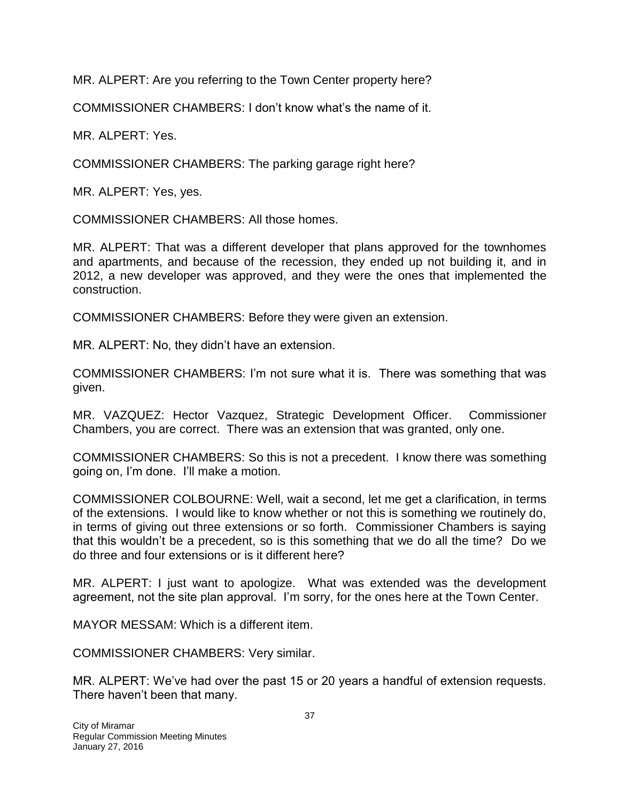MR. ALPERT: Are you referring to the Town Center property here?

COMMISSIONER CHAMBERS: I don't know what's the name of it.

MR. ALPERT: Yes.

COMMISSIONER CHAMBERS: The parking garage right here?

MR. ALPERT: Yes, yes.

COMMISSIONER CHAMBERS: All those homes.

MR. ALPERT: That was a different developer that plans approved for the townhomes and apartments, and because of the recession, they ended up not building it, and in 2012, a new developer was approved, and they were the ones that implemented the construction.

COMMISSIONER CHAMBERS: Before they were given an extension.

MR. ALPERT: No, they didn't have an extension.

COMMISSIONER CHAMBERS: I'm not sure what it is. There was something that was given.

MR. VAZQUEZ: Hector Vazquez, Strategic Development Officer. Commissioner Chambers, you are correct. There was an extension that was granted, only one.

COMMISSIONER CHAMBERS: So this is not a precedent. I know there was something going on, I'm done. I'll make a motion.

COMMISSIONER COLBOURNE: Well, wait a second, let me get a clarification, in terms of the extensions. I would like to know whether or not this is something we routinely do, in terms of giving out three extensions or so forth. Commissioner Chambers is saying that this wouldn't be a precedent, so is this something that we do all the time? Do we do three and four extensions or is it different here?

MR. ALPERT: I just want to apologize. What was extended was the development agreement, not the site plan approval. I'm sorry, for the ones here at the Town Center.

MAYOR MESSAM: Which is a different item.

COMMISSIONER CHAMBERS: Very similar.

MR. ALPERT: We've had over the past 15 or 20 years a handful of extension requests. There haven't been that many.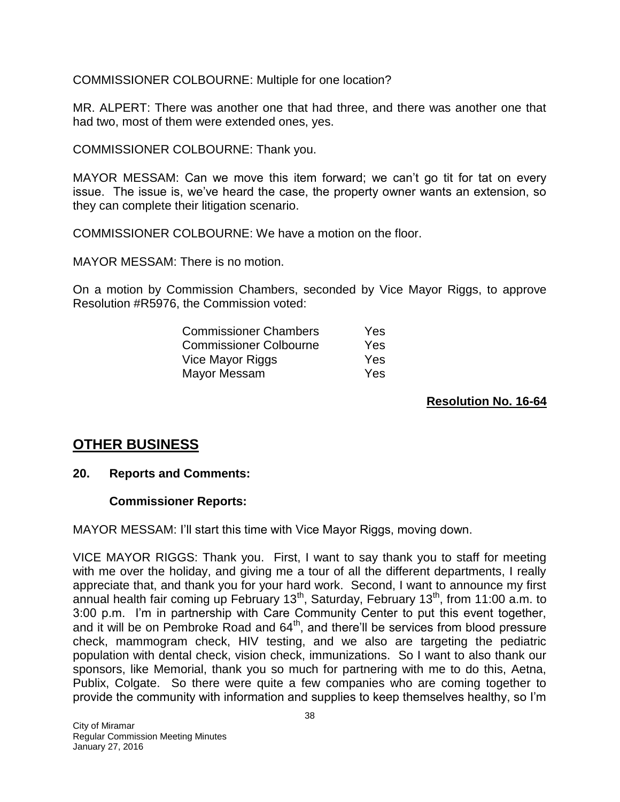COMMISSIONER COLBOURNE: Multiple for one location?

MR. ALPERT: There was another one that had three, and there was another one that had two, most of them were extended ones, yes.

COMMISSIONER COLBOURNE: Thank you.

MAYOR MESSAM: Can we move this item forward; we can't go tit for tat on every issue. The issue is, we've heard the case, the property owner wants an extension, so they can complete their litigation scenario.

COMMISSIONER COLBOURNE: We have a motion on the floor.

MAYOR MESSAM: There is no motion.

On a motion by Commission Chambers, seconded by Vice Mayor Riggs, to approve Resolution #R5976, the Commission voted:

| <b>Commissioner Chambers</b>  | Yes |
|-------------------------------|-----|
| <b>Commissioner Colbourne</b> | Yes |
| Vice Mayor Riggs              | Yes |
| Mayor Messam                  | Yes |

#### **Resolution No. 16-64**

# **OTHER BUSINESS**

#### **20. Reports and Comments:**

#### **Commissioner Reports:**

MAYOR MESSAM: I'll start this time with Vice Mayor Riggs, moving down.

VICE MAYOR RIGGS: Thank you. First, I want to say thank you to staff for meeting with me over the holiday, and giving me a tour of all the different departments, I really appreciate that, and thank you for your hard work. Second, I want to announce my first annual health fair coming up February 13<sup>th</sup>, Saturday, February 13<sup>th</sup>, from 11:00 a.m. to 3:00 p.m. I'm in partnership with Care Community Center to put this event together, and it will be on Pembroke Road and 64<sup>th</sup>, and there'll be services from blood pressure check, mammogram check, HIV testing, and we also are targeting the pediatric population with dental check, vision check, immunizations. So I want to also thank our sponsors, like Memorial, thank you so much for partnering with me to do this, Aetna, Publix, Colgate. So there were quite a few companies who are coming together to provide the community with information and supplies to keep themselves healthy, so I'm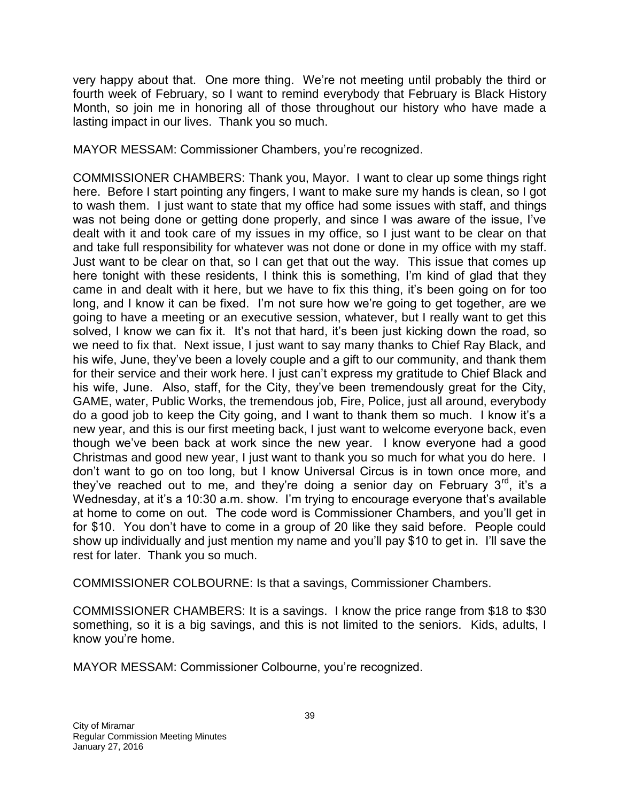very happy about that. One more thing. We're not meeting until probably the third or fourth week of February, so I want to remind everybody that February is Black History Month, so join me in honoring all of those throughout our history who have made a lasting impact in our lives. Thank you so much.

MAYOR MESSAM: Commissioner Chambers, you're recognized.

COMMISSIONER CHAMBERS: Thank you, Mayor. I want to clear up some things right here. Before I start pointing any fingers, I want to make sure my hands is clean, so I got to wash them. I just want to state that my office had some issues with staff, and things was not being done or getting done properly, and since I was aware of the issue, I've dealt with it and took care of my issues in my office, so I just want to be clear on that and take full responsibility for whatever was not done or done in my office with my staff. Just want to be clear on that, so I can get that out the way. This issue that comes up here tonight with these residents, I think this is something, I'm kind of glad that they came in and dealt with it here, but we have to fix this thing, it's been going on for too long, and I know it can be fixed. I'm not sure how we're going to get together, are we going to have a meeting or an executive session, whatever, but I really want to get this solved, I know we can fix it. It's not that hard, it's been just kicking down the road, so we need to fix that. Next issue, I just want to say many thanks to Chief Ray Black, and his wife, June, they've been a lovely couple and a gift to our community, and thank them for their service and their work here. I just can't express my gratitude to Chief Black and his wife, June. Also, staff, for the City, they've been tremendously great for the City, GAME, water, Public Works, the tremendous job, Fire, Police, just all around, everybody do a good job to keep the City going, and I want to thank them so much. I know it's a new year, and this is our first meeting back, I just want to welcome everyone back, even though we've been back at work since the new year. I know everyone had a good Christmas and good new year, I just want to thank you so much for what you do here. I don't want to go on too long, but I know Universal Circus is in town once more, and they've reached out to me, and they're doing a senior day on February  $3<sup>rd</sup>$ , it's a Wednesday, at it's a 10:30 a.m. show. I'm trying to encourage everyone that's available at home to come on out. The code word is Commissioner Chambers, and you'll get in for \$10. You don't have to come in a group of 20 like they said before. People could show up individually and just mention my name and you'll pay \$10 to get in. I'll save the rest for later. Thank you so much.

COMMISSIONER COLBOURNE: Is that a savings, Commissioner Chambers.

COMMISSIONER CHAMBERS: It is a savings. I know the price range from \$18 to \$30 something, so it is a big savings, and this is not limited to the seniors. Kids, adults, I know you're home.

MAYOR MESSAM: Commissioner Colbourne, you're recognized.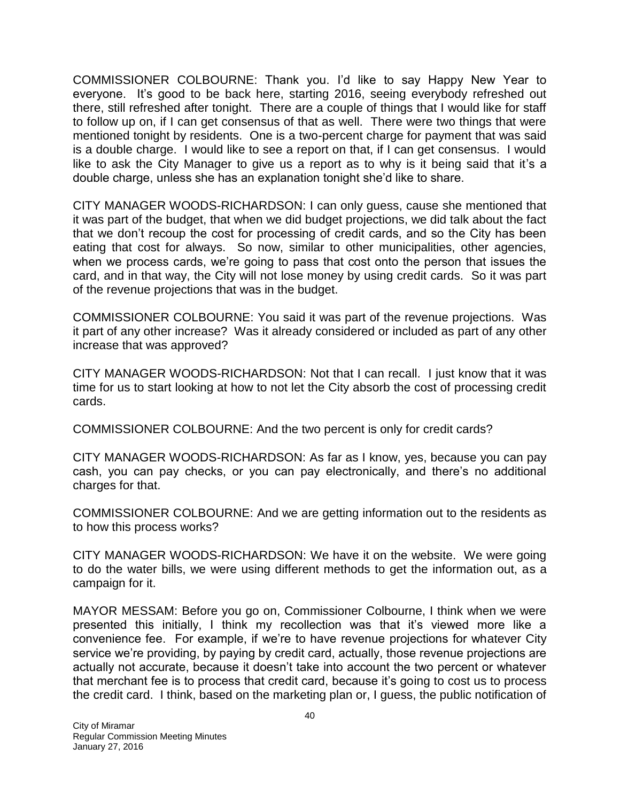COMMISSIONER COLBOURNE: Thank you. I'd like to say Happy New Year to everyone. It's good to be back here, starting 2016, seeing everybody refreshed out there, still refreshed after tonight. There are a couple of things that I would like for staff to follow up on, if I can get consensus of that as well. There were two things that were mentioned tonight by residents. One is a two-percent charge for payment that was said is a double charge. I would like to see a report on that, if I can get consensus. I would like to ask the City Manager to give us a report as to why is it being said that it's a double charge, unless she has an explanation tonight she'd like to share.

CITY MANAGER WOODS-RICHARDSON: I can only guess, cause she mentioned that it was part of the budget, that when we did budget projections, we did talk about the fact that we don't recoup the cost for processing of credit cards, and so the City has been eating that cost for always. So now, similar to other municipalities, other agencies, when we process cards, we're going to pass that cost onto the person that issues the card, and in that way, the City will not lose money by using credit cards. So it was part of the revenue projections that was in the budget.

COMMISSIONER COLBOURNE: You said it was part of the revenue projections. Was it part of any other increase? Was it already considered or included as part of any other increase that was approved?

CITY MANAGER WOODS-RICHARDSON: Not that I can recall. I just know that it was time for us to start looking at how to not let the City absorb the cost of processing credit cards.

COMMISSIONER COLBOURNE: And the two percent is only for credit cards?

CITY MANAGER WOODS-RICHARDSON: As far as I know, yes, because you can pay cash, you can pay checks, or you can pay electronically, and there's no additional charges for that.

COMMISSIONER COLBOURNE: And we are getting information out to the residents as to how this process works?

CITY MANAGER WOODS-RICHARDSON: We have it on the website. We were going to do the water bills, we were using different methods to get the information out, as a campaign for it.

MAYOR MESSAM: Before you go on, Commissioner Colbourne, I think when we were presented this initially, I think my recollection was that it's viewed more like a convenience fee. For example, if we're to have revenue projections for whatever City service we're providing, by paying by credit card, actually, those revenue projections are actually not accurate, because it doesn't take into account the two percent or whatever that merchant fee is to process that credit card, because it's going to cost us to process the credit card. I think, based on the marketing plan or, I guess, the public notification of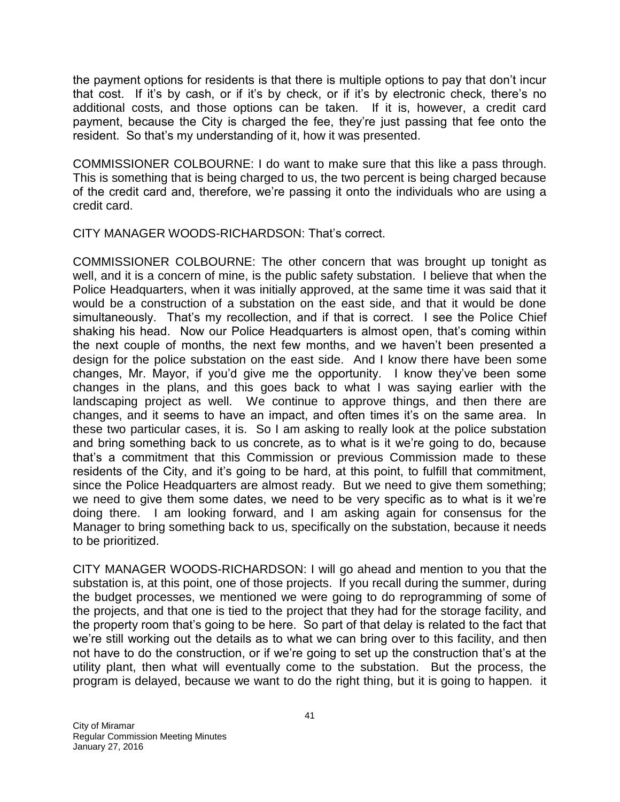the payment options for residents is that there is multiple options to pay that don't incur that cost. If it's by cash, or if it's by check, or if it's by electronic check, there's no additional costs, and those options can be taken. If it is, however, a credit card payment, because the City is charged the fee, they're just passing that fee onto the resident. So that's my understanding of it, how it was presented.

COMMISSIONER COLBOURNE: I do want to make sure that this like a pass through. This is something that is being charged to us, the two percent is being charged because of the credit card and, therefore, we're passing it onto the individuals who are using a credit card.

CITY MANAGER WOODS-RICHARDSON: That's correct.

COMMISSIONER COLBOURNE: The other concern that was brought up tonight as well, and it is a concern of mine, is the public safety substation. I believe that when the Police Headquarters, when it was initially approved, at the same time it was said that it would be a construction of a substation on the east side, and that it would be done simultaneously. That's my recollection, and if that is correct. I see the Police Chief shaking his head. Now our Police Headquarters is almost open, that's coming within the next couple of months, the next few months, and we haven't been presented a design for the police substation on the east side. And I know there have been some changes, Mr. Mayor, if you'd give me the opportunity. I know they've been some changes in the plans, and this goes back to what I was saying earlier with the landscaping project as well. We continue to approve things, and then there are changes, and it seems to have an impact, and often times it's on the same area. In these two particular cases, it is. So I am asking to really look at the police substation and bring something back to us concrete, as to what is it we're going to do, because that's a commitment that this Commission or previous Commission made to these residents of the City, and it's going to be hard, at this point, to fulfill that commitment, since the Police Headquarters are almost ready. But we need to give them something; we need to give them some dates, we need to be very specific as to what is it we're doing there. I am looking forward, and I am asking again for consensus for the Manager to bring something back to us, specifically on the substation, because it needs to be prioritized.

CITY MANAGER WOODS-RICHARDSON: I will go ahead and mention to you that the substation is, at this point, one of those projects. If you recall during the summer, during the budget processes, we mentioned we were going to do reprogramming of some of the projects, and that one is tied to the project that they had for the storage facility, and the property room that's going to be here. So part of that delay is related to the fact that we're still working out the details as to what we can bring over to this facility, and then not have to do the construction, or if we're going to set up the construction that's at the utility plant, then what will eventually come to the substation. But the process, the program is delayed, because we want to do the right thing, but it is going to happen. it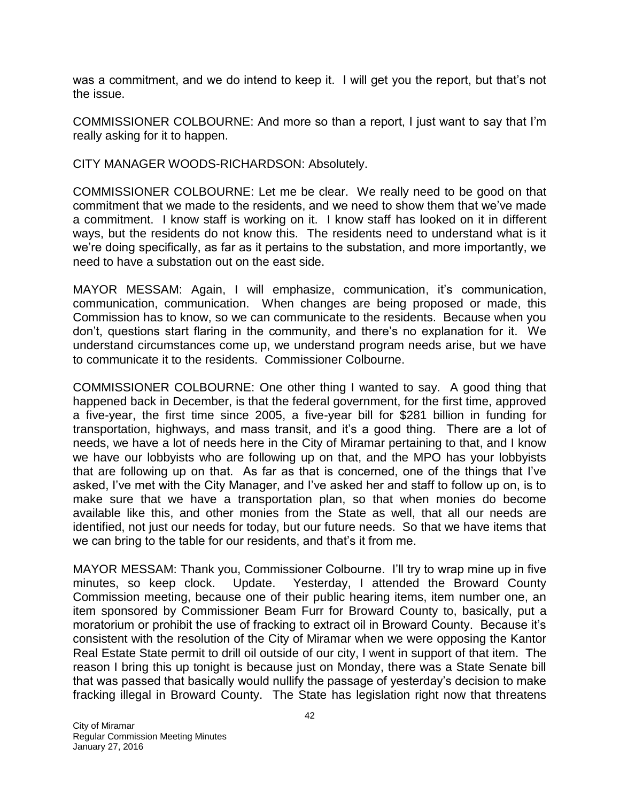was a commitment, and we do intend to keep it. I will get you the report, but that's not the issue.

COMMISSIONER COLBOURNE: And more so than a report, I just want to say that I'm really asking for it to happen.

CITY MANAGER WOODS-RICHARDSON: Absolutely.

COMMISSIONER COLBOURNE: Let me be clear. We really need to be good on that commitment that we made to the residents, and we need to show them that we've made a commitment. I know staff is working on it. I know staff has looked on it in different ways, but the residents do not know this. The residents need to understand what is it we're doing specifically, as far as it pertains to the substation, and more importantly, we need to have a substation out on the east side.

MAYOR MESSAM: Again, I will emphasize, communication, it's communication, communication, communication. When changes are being proposed or made, this Commission has to know, so we can communicate to the residents. Because when you don't, questions start flaring in the community, and there's no explanation for it. We understand circumstances come up, we understand program needs arise, but we have to communicate it to the residents. Commissioner Colbourne.

COMMISSIONER COLBOURNE: One other thing I wanted to say. A good thing that happened back in December, is that the federal government, for the first time, approved a five-year, the first time since 2005, a five-year bill for \$281 billion in funding for transportation, highways, and mass transit, and it's a good thing. There are a lot of needs, we have a lot of needs here in the City of Miramar pertaining to that, and I know we have our lobbyists who are following up on that, and the MPO has your lobbyists that are following up on that. As far as that is concerned, one of the things that I've asked, I've met with the City Manager, and I've asked her and staff to follow up on, is to make sure that we have a transportation plan, so that when monies do become available like this, and other monies from the State as well, that all our needs are identified, not just our needs for today, but our future needs. So that we have items that we can bring to the table for our residents, and that's it from me.

MAYOR MESSAM: Thank you, Commissioner Colbourne. I'll try to wrap mine up in five minutes, so keep clock. Update. Yesterday, I attended the Broward County Commission meeting, because one of their public hearing items, item number one, an item sponsored by Commissioner Beam Furr for Broward County to, basically, put a moratorium or prohibit the use of fracking to extract oil in Broward County. Because it's consistent with the resolution of the City of Miramar when we were opposing the Kantor Real Estate State permit to drill oil outside of our city, I went in support of that item. The reason I bring this up tonight is because just on Monday, there was a State Senate bill that was passed that basically would nullify the passage of yesterday's decision to make fracking illegal in Broward County. The State has legislation right now that threatens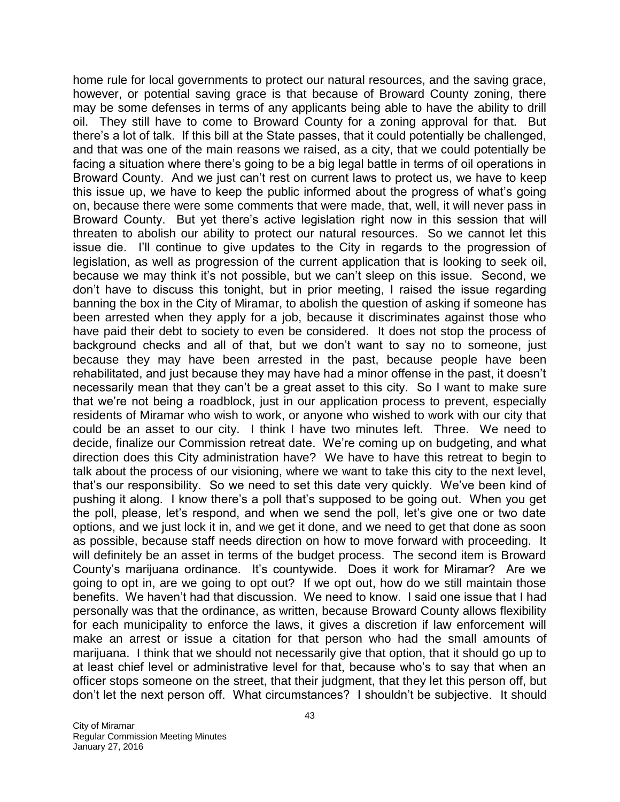home rule for local governments to protect our natural resources, and the saving grace, however, or potential saving grace is that because of Broward County zoning, there may be some defenses in terms of any applicants being able to have the ability to drill oil. They still have to come to Broward County for a zoning approval for that. But there's a lot of talk. If this bill at the State passes, that it could potentially be challenged, and that was one of the main reasons we raised, as a city, that we could potentially be facing a situation where there's going to be a big legal battle in terms of oil operations in Broward County. And we just can't rest on current laws to protect us, we have to keep this issue up, we have to keep the public informed about the progress of what's going on, because there were some comments that were made, that, well, it will never pass in Broward County. But yet there's active legislation right now in this session that will threaten to abolish our ability to protect our natural resources. So we cannot let this issue die. I'll continue to give updates to the City in regards to the progression of legislation, as well as progression of the current application that is looking to seek oil, because we may think it's not possible, but we can't sleep on this issue. Second, we don't have to discuss this tonight, but in prior meeting, I raised the issue regarding banning the box in the City of Miramar, to abolish the question of asking if someone has been arrested when they apply for a job, because it discriminates against those who have paid their debt to society to even be considered. It does not stop the process of background checks and all of that, but we don't want to say no to someone, just because they may have been arrested in the past, because people have been rehabilitated, and just because they may have had a minor offense in the past, it doesn't necessarily mean that they can't be a great asset to this city. So I want to make sure that we're not being a roadblock, just in our application process to prevent, especially residents of Miramar who wish to work, or anyone who wished to work with our city that could be an asset to our city. I think I have two minutes left. Three. We need to decide, finalize our Commission retreat date. We're coming up on budgeting, and what direction does this City administration have? We have to have this retreat to begin to talk about the process of our visioning, where we want to take this city to the next level, that's our responsibility. So we need to set this date very quickly. We've been kind of pushing it along. I know there's a poll that's supposed to be going out. When you get the poll, please, let's respond, and when we send the poll, let's give one or two date options, and we just lock it in, and we get it done, and we need to get that done as soon as possible, because staff needs direction on how to move forward with proceeding. It will definitely be an asset in terms of the budget process. The second item is Broward County's marijuana ordinance. It's countywide. Does it work for Miramar? Are we going to opt in, are we going to opt out? If we opt out, how do we still maintain those benefits. We haven't had that discussion. We need to know. I said one issue that I had personally was that the ordinance, as written, because Broward County allows flexibility for each municipality to enforce the laws, it gives a discretion if law enforcement will make an arrest or issue a citation for that person who had the small amounts of marijuana. I think that we should not necessarily give that option, that it should go up to at least chief level or administrative level for that, because who's to say that when an officer stops someone on the street, that their judgment, that they let this person off, but don't let the next person off. What circumstances? I shouldn't be subjective. It should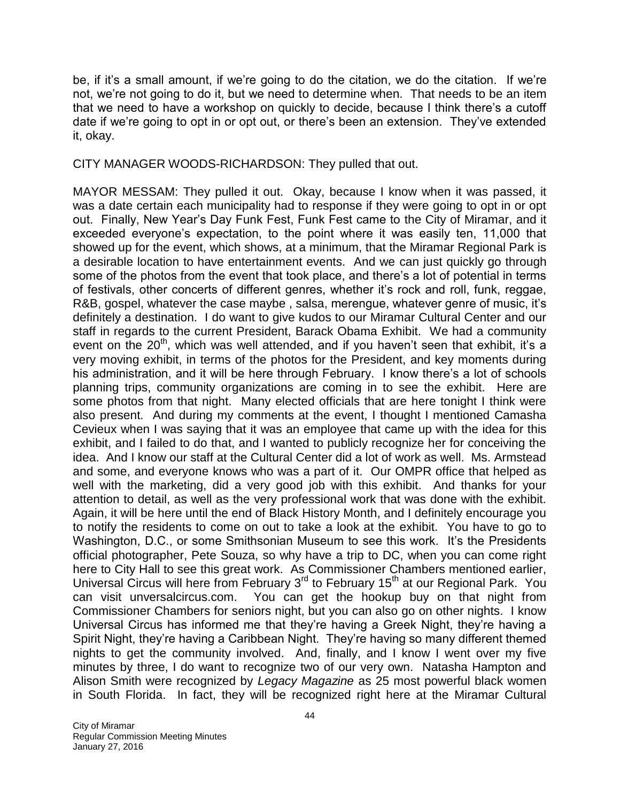be, if it's a small amount, if we're going to do the citation, we do the citation. If we're not, we're not going to do it, but we need to determine when. That needs to be an item that we need to have a workshop on quickly to decide, because I think there's a cutoff date if we're going to opt in or opt out, or there's been an extension. They've extended it, okay.

CITY MANAGER WOODS-RICHARDSON: They pulled that out.

MAYOR MESSAM: They pulled it out. Okay, because I know when it was passed, it was a date certain each municipality had to response if they were going to opt in or opt out. Finally, New Year's Day Funk Fest, Funk Fest came to the City of Miramar, and it exceeded everyone's expectation, to the point where it was easily ten, 11,000 that showed up for the event, which shows, at a minimum, that the Miramar Regional Park is a desirable location to have entertainment events. And we can just quickly go through some of the photos from the event that took place, and there's a lot of potential in terms of festivals, other concerts of different genres, whether it's rock and roll, funk, reggae, R&B, gospel, whatever the case maybe , salsa, merengue, whatever genre of music, it's definitely a destination. I do want to give kudos to our Miramar Cultural Center and our staff in regards to the current President, Barack Obama Exhibit. We had a community event on the  $20<sup>th</sup>$ , which was well attended, and if you haven't seen that exhibit, it's a very moving exhibit, in terms of the photos for the President, and key moments during his administration, and it will be here through February. I know there's a lot of schools planning trips, community organizations are coming in to see the exhibit. Here are some photos from that night. Many elected officials that are here tonight I think were also present. And during my comments at the event, I thought I mentioned Camasha Cevieux when I was saying that it was an employee that came up with the idea for this exhibit, and I failed to do that, and I wanted to publicly recognize her for conceiving the idea. And I know our staff at the Cultural Center did a lot of work as well. Ms. Armstead and some, and everyone knows who was a part of it. Our OMPR office that helped as well with the marketing, did a very good job with this exhibit. And thanks for your attention to detail, as well as the very professional work that was done with the exhibit. Again, it will be here until the end of Black History Month, and I definitely encourage you to notify the residents to come on out to take a look at the exhibit. You have to go to Washington, D.C., or some Smithsonian Museum to see this work. It's the Presidents official photographer, Pete Souza, so why have a trip to DC, when you can come right here to City Hall to see this great work. As Commissioner Chambers mentioned earlier, Universal Circus will here from February 3<sup>rd</sup> to February 15<sup>th</sup> at our Regional Park. You can visit unversalcircus.com. You can get the hookup buy on that night from Commissioner Chambers for seniors night, but you can also go on other nights. I know Universal Circus has informed me that they're having a Greek Night, they're having a Spirit Night, they're having a Caribbean Night. They're having so many different themed nights to get the community involved. And, finally, and I know I went over my five minutes by three, I do want to recognize two of our very own. Natasha Hampton and Alison Smith were recognized by *Legacy Magazine* as 25 most powerful black women in South Florida. In fact, they will be recognized right here at the Miramar Cultural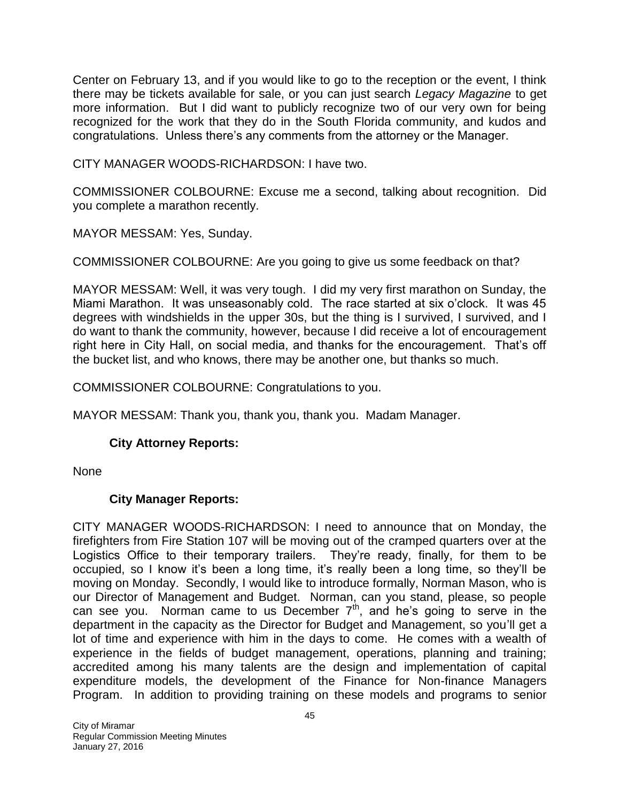Center on February 13, and if you would like to go to the reception or the event, I think there may be tickets available for sale, or you can just search *Legacy Magazine* to get more information. But I did want to publicly recognize two of our very own for being recognized for the work that they do in the South Florida community, and kudos and congratulations. Unless there's any comments from the attorney or the Manager.

CITY MANAGER WOODS-RICHARDSON: I have two.

COMMISSIONER COLBOURNE: Excuse me a second, talking about recognition. Did you complete a marathon recently.

MAYOR MESSAM: Yes, Sunday.

COMMISSIONER COLBOURNE: Are you going to give us some feedback on that?

MAYOR MESSAM: Well, it was very tough. I did my very first marathon on Sunday, the Miami Marathon. It was unseasonably cold. The race started at six o'clock. It was 45 degrees with windshields in the upper 30s, but the thing is I survived, I survived, and I do want to thank the community, however, because I did receive a lot of encouragement right here in City Hall, on social media, and thanks for the encouragement. That's off the bucket list, and who knows, there may be another one, but thanks so much.

COMMISSIONER COLBOURNE: Congratulations to you.

MAYOR MESSAM: Thank you, thank you, thank you. Madam Manager.

## **City Attorney Reports:**

None

## **City Manager Reports:**

CITY MANAGER WOODS-RICHARDSON: I need to announce that on Monday, the firefighters from Fire Station 107 will be moving out of the cramped quarters over at the Logistics Office to their temporary trailers. They're ready, finally, for them to be occupied, so I know it's been a long time, it's really been a long time, so they'll be moving on Monday. Secondly, I would like to introduce formally, Norman Mason, who is our Director of Management and Budget. Norman, can you stand, please, so people can see you. Norman came to us December  $7<sup>th</sup>$ , and he's going to serve in the department in the capacity as the Director for Budget and Management, so you'll get a lot of time and experience with him in the days to come. He comes with a wealth of experience in the fields of budget management, operations, planning and training; accredited among his many talents are the design and implementation of capital expenditure models, the development of the Finance for Non-finance Managers Program. In addition to providing training on these models and programs to senior